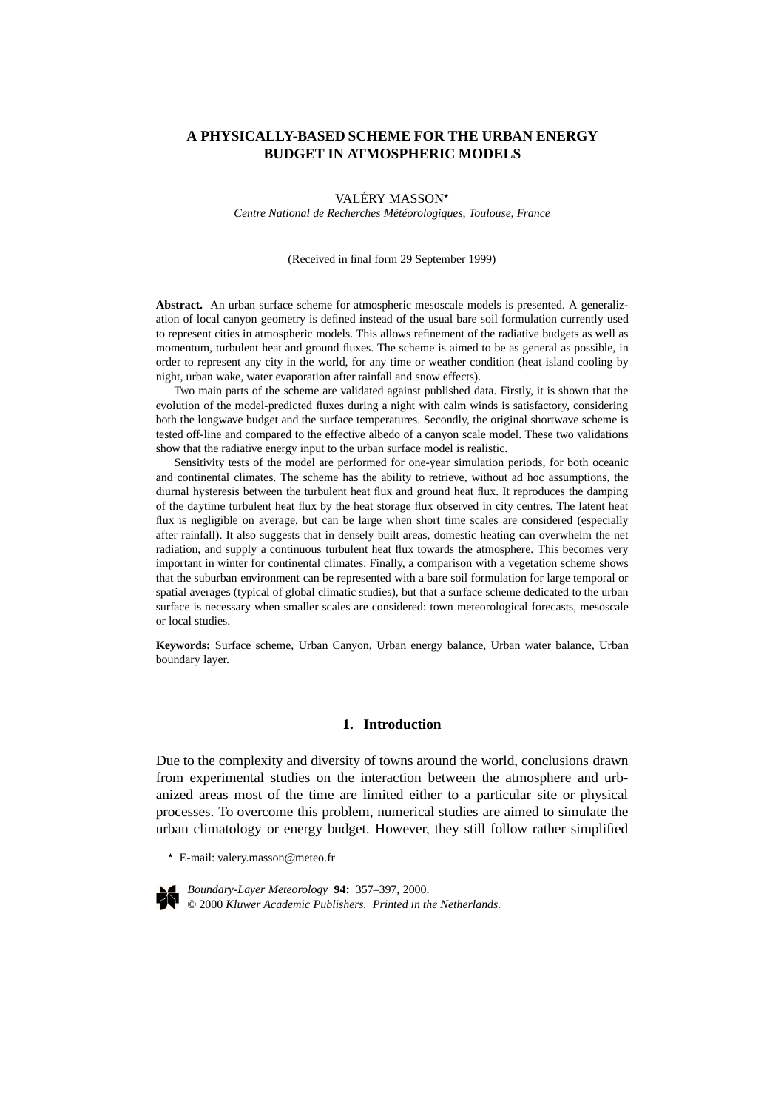# **A PHYSICALLY-BASED SCHEME FOR THE URBAN ENERGY BUDGET IN ATMOSPHERIC MODELS**

# VALÉRY MASSON*?*

*Centre National de Recherches Météorologiques, Toulouse, France*

#### (Received in final form 29 September 1999)

**Abstract.** An urban surface scheme for atmospheric mesoscale models is presented. A generalization of local canyon geometry is defined instead of the usual bare soil formulation currently used to represent cities in atmospheric models. This allows refinement of the radiative budgets as well as momentum, turbulent heat and ground fluxes. The scheme is aimed to be as general as possible, in order to represent any city in the world, for any time or weather condition (heat island cooling by night, urban wake, water evaporation after rainfall and snow effects).

Two main parts of the scheme are validated against published data. Firstly, it is shown that the evolution of the model-predicted fluxes during a night with calm winds is satisfactory, considering both the longwave budget and the surface temperatures. Secondly, the original shortwave scheme is tested off-line and compared to the effective albedo of a canyon scale model. These two validations show that the radiative energy input to the urban surface model is realistic.

Sensitivity tests of the model are performed for one-year simulation periods, for both oceanic and continental climates. The scheme has the ability to retrieve, without ad hoc assumptions, the diurnal hysteresis between the turbulent heat flux and ground heat flux. It reproduces the damping of the daytime turbulent heat flux by the heat storage flux observed in city centres. The latent heat flux is negligible on average, but can be large when short time scales are considered (especially after rainfall). It also suggests that in densely built areas, domestic heating can overwhelm the net radiation, and supply a continuous turbulent heat flux towards the atmosphere. This becomes very important in winter for continental climates. Finally, a comparison with a vegetation scheme shows that the suburban environment can be represented with a bare soil formulation for large temporal or spatial averages (typical of global climatic studies), but that a surface scheme dedicated to the urban surface is necessary when smaller scales are considered: town meteorological forecasts, mesoscale or local studies.

**Keywords:** Surface scheme, Urban Canyon, Urban energy balance, Urban water balance, Urban boundary layer.

#### **1. Introduction**

Due to the complexity and diversity of towns around the world, conclusions drawn from experimental studies on the interaction between the atmosphere and urbanized areas most of the time are limited either to a particular site or physical processes. To overcome this problem, numerical studies are aimed to simulate the urban climatology or energy budget. However, they still follow rather simplified

*?* E-mail: valery.masson@meteo.fr



*Boundary-Layer Meteorology* **94:** 357–397, 2000. © 2000 *Kluwer Academic Publishers. Printed in the Netherlands.*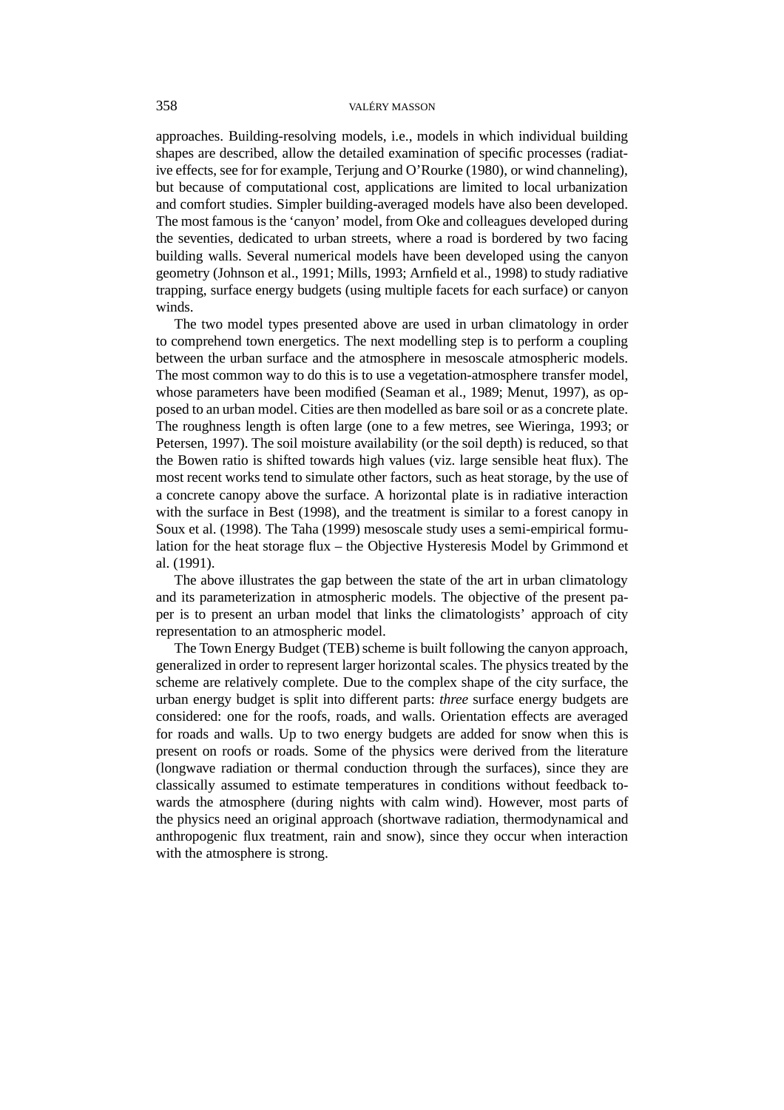approaches. Building-resolving models, i.e., models in which individual building shapes are described, allow the detailed examination of specific processes (radiative effects, see for for example, Terjung and O'Rourke (1980), or wind channeling), but because of computational cost, applications are limited to local urbanization and comfort studies. Simpler building-averaged models have also been developed. The most famous is the 'canyon' model, from Oke and colleagues developed during the seventies, dedicated to urban streets, where a road is bordered by two facing building walls. Several numerical models have been developed using the canyon geometry (Johnson et al., 1991; Mills, 1993; Arnfield et al., 1998) to study radiative trapping, surface energy budgets (using multiple facets for each surface) or canyon winds.

The two model types presented above are used in urban climatology in order to comprehend town energetics. The next modelling step is to perform a coupling between the urban surface and the atmosphere in mesoscale atmospheric models. The most common way to do this is to use a vegetation-atmosphere transfer model, whose parameters have been modified (Seaman et al., 1989; Menut, 1997), as opposed to an urban model. Cities are then modelled as bare soil or as a concrete plate. The roughness length is often large (one to a few metres, see Wieringa, 1993; or Petersen, 1997). The soil moisture availability (or the soil depth) is reduced, so that the Bowen ratio is shifted towards high values (viz. large sensible heat flux). The most recent works tend to simulate other factors, such as heat storage, by the use of a concrete canopy above the surface. A horizontal plate is in radiative interaction with the surface in Best (1998), and the treatment is similar to a forest canopy in Soux et al. (1998). The Taha (1999) mesoscale study uses a semi-empirical formulation for the heat storage flux – the Objective Hysteresis Model by Grimmond et al. (1991).

The above illustrates the gap between the state of the art in urban climatology and its parameterization in atmospheric models. The objective of the present paper is to present an urban model that links the climatologists' approach of city representation to an atmospheric model.

The Town Energy Budget (TEB) scheme is built following the canyon approach, generalized in order to represent larger horizontal scales. The physics treated by the scheme are relatively complete. Due to the complex shape of the city surface, the urban energy budget is split into different parts: *three* surface energy budgets are considered: one for the roofs, roads, and walls. Orientation effects are averaged for roads and walls. Up to two energy budgets are added for snow when this is present on roofs or roads. Some of the physics were derived from the literature (longwave radiation or thermal conduction through the surfaces), since they are classically assumed to estimate temperatures in conditions without feedback towards the atmosphere (during nights with calm wind). However, most parts of the physics need an original approach (shortwave radiation, thermodynamical and anthropogenic flux treatment, rain and snow), since they occur when interaction with the atmosphere is strong.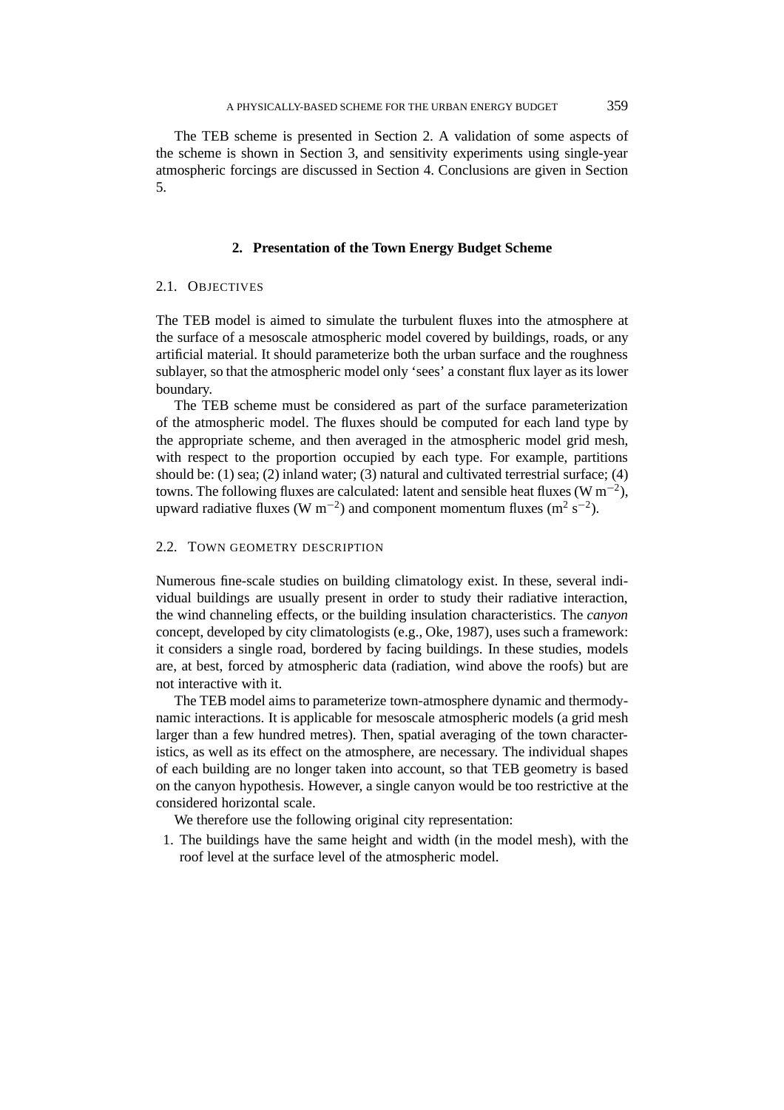The TEB scheme is presented in Section 2. A validation of some aspects of the scheme is shown in Section 3, and sensitivity experiments using single-year atmospheric forcings are discussed in Section 4. Conclusions are given in Section 5.

## **2. Presentation of the Town Energy Budget Scheme**

## 2.1. OBJECTIVES

The TEB model is aimed to simulate the turbulent fluxes into the atmosphere at the surface of a mesoscale atmospheric model covered by buildings, roads, or any artificial material. It should parameterize both the urban surface and the roughness sublayer, so that the atmospheric model only 'sees' a constant flux layer as its lower boundary.

The TEB scheme must be considered as part of the surface parameterization of the atmospheric model. The fluxes should be computed for each land type by the appropriate scheme, and then averaged in the atmospheric model grid mesh, with respect to the proportion occupied by each type. For example, partitions should be: (1) sea; (2) inland water; (3) natural and cultivated terrestrial surface; (4) towns. The following fluxes are calculated: latent and sensible heat fluxes (W  $m^{-2}$ ), upward radiative fluxes (W m<sup>-2</sup>) and component momentum fluxes (m<sup>2</sup> s<sup>-2</sup>).

## 2.2. TOWN GEOMETRY DESCRIPTION

Numerous fine-scale studies on building climatology exist. In these, several individual buildings are usually present in order to study their radiative interaction, the wind channeling effects, or the building insulation characteristics. The *canyon* concept, developed by city climatologists (e.g., Oke, 1987), uses such a framework: it considers a single road, bordered by facing buildings. In these studies, models are, at best, forced by atmospheric data (radiation, wind above the roofs) but are not interactive with it.

The TEB model aims to parameterize town-atmosphere dynamic and thermodynamic interactions. It is applicable for mesoscale atmospheric models (a grid mesh larger than a few hundred metres). Then, spatial averaging of the town characteristics, as well as its effect on the atmosphere, are necessary. The individual shapes of each building are no longer taken into account, so that TEB geometry is based on the canyon hypothesis. However, a single canyon would be too restrictive at the considered horizontal scale.

We therefore use the following original city representation:

1. The buildings have the same height and width (in the model mesh), with the roof level at the surface level of the atmospheric model.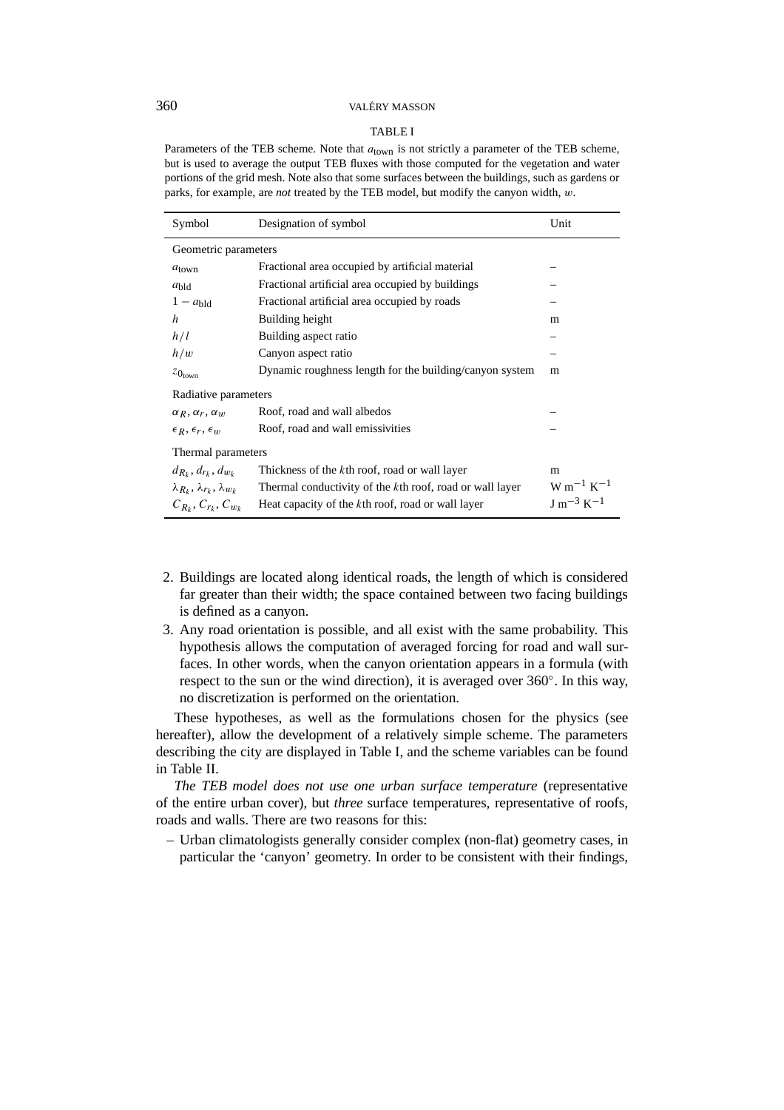#### TABLE I

Parameters of the TEB scheme. Note that *a*town is not strictly a parameter of the TEB scheme, but is used to average the output TEB fluxes with those computed for the vegetation and water portions of the grid mesh. Note also that some surfaces between the buildings, such as gardens or parks, for example, are *not* treated by the TEB model, but modify the canyon width, *w*.

| Symbol                                        | Designation of symbol                                    | Unit                    |  |  |  |
|-----------------------------------------------|----------------------------------------------------------|-------------------------|--|--|--|
| Geometric parameters                          |                                                          |                         |  |  |  |
| $a$ <sub>town</sub>                           | Fractional area occupied by artificial material          |                         |  |  |  |
| $a_{\rm bld}$                                 | Fractional artificial area occupied by buildings         |                         |  |  |  |
| $1 - a_{\text{bld}}$                          | Fractional artificial area occupied by roads             |                         |  |  |  |
| h                                             | Building height                                          | m                       |  |  |  |
| h/l                                           | Building aspect ratio                                    |                         |  |  |  |
| h/w                                           | Canyon aspect ratio                                      |                         |  |  |  |
| $z_{0_{\text{town}}}$                         | Dynamic roughness length for the building/canyon system  | m                       |  |  |  |
| Radiative parameters                          |                                                          |                         |  |  |  |
| $\alpha_R, \alpha_r, \alpha_w$                | Roof, road and wall albedos                              |                         |  |  |  |
| $\epsilon_R, \epsilon_r, \epsilon_w$          | Roof, road and wall emissivities                         |                         |  |  |  |
| Thermal parameters                            |                                                          |                         |  |  |  |
| $d_{R_k}, d_{r_k}, d_{w_k}$                   | Thickness of the kth roof, road or wall layer            | m                       |  |  |  |
| $\lambda_{R_k}, \lambda_{r_k}, \lambda_{w_k}$ | Thermal conductivity of the kth roof, road or wall layer | $\rm W\,m^{-1}\,K^{-1}$ |  |  |  |
| $C_{R_k}, C_{r_k}, C_{w_k}$                   | Heat capacity of the kth roof, road or wall layer        | $J m^{-3} K^{-1}$       |  |  |  |

- 2. Buildings are located along identical roads, the length of which is considered far greater than their width; the space contained between two facing buildings is defined as a canyon.
- 3. Any road orientation is possible, and all exist with the same probability. This hypothesis allows the computation of averaged forcing for road and wall surfaces. In other words, when the canyon orientation appears in a formula (with respect to the sun or the wind direction), it is averaged over 360◦. In this way, no discretization is performed on the orientation.

These hypotheses, as well as the formulations chosen for the physics (see hereafter), allow the development of a relatively simple scheme. The parameters describing the city are displayed in Table I, and the scheme variables can be found in Table II.

*The TEB model does not use one urban surface temperature* (representative of the entire urban cover), but *three* surface temperatures, representative of roofs, roads and walls. There are two reasons for this:

– Urban climatologists generally consider complex (non-flat) geometry cases, in particular the 'canyon' geometry. In order to be consistent with their findings,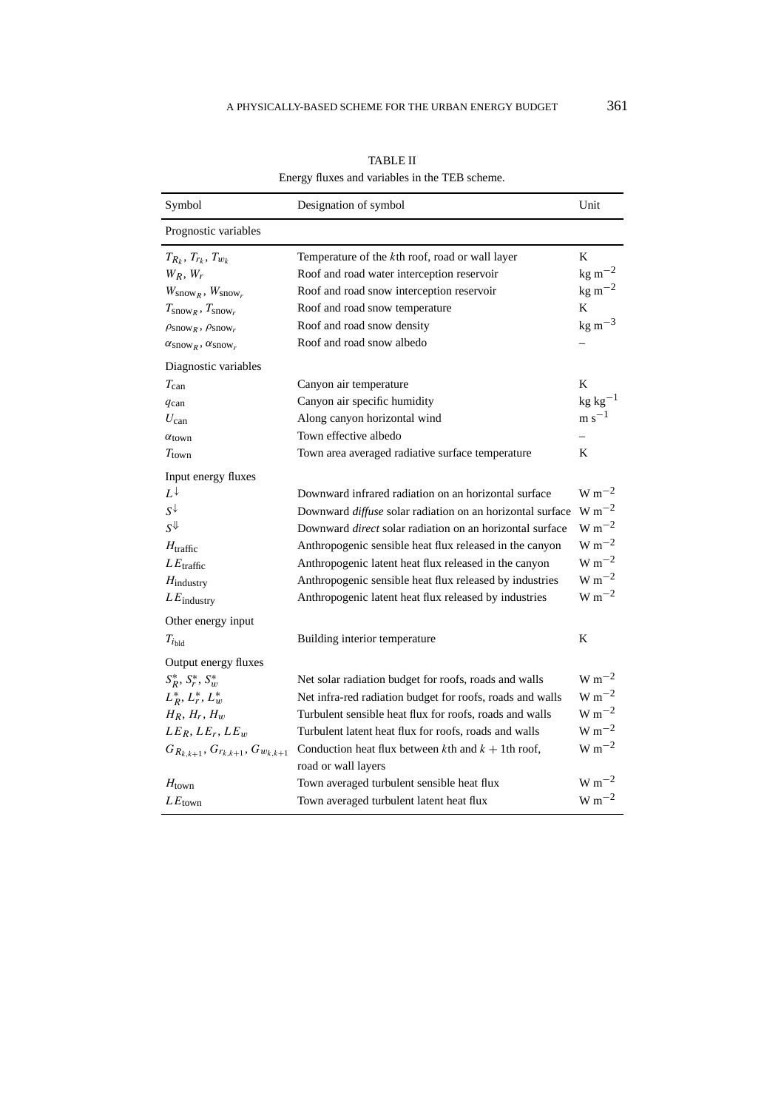| Symbol                                           | Designation of symbol                                     | Unit                 |
|--------------------------------------------------|-----------------------------------------------------------|----------------------|
| Prognostic variables                             |                                                           |                      |
| $T_{R_k}, T_{r_k}, T_{w_k}$                      | Temperature of the kth roof, road or wall layer           | K                    |
| $W_R, W_r$                                       | Roof and road water interception reservoir                | $\text{kg m}^{-2}$   |
| $W_{\text{snow}_R}, W_{\text{snow}_r}$           | Roof and road snow interception reservoir                 | $\text{kg m}^{-2}$   |
| $T_{\text{snow}_R}, T_{\text{snow}_r}$           | Roof and road snow temperature                            | K                    |
| $\rho_{\text{snow}_R}, \rho_{\text{snow}_r}$     | Roof and road snow density                                | $kg \text{ m}^{-3}$  |
| $\alpha_{\text{snow}_R}, \alpha_{\text{snow}_r}$ | Roof and road snow albedo                                 |                      |
| Diagnostic variables                             |                                                           |                      |
| $T_{\rm can}$                                    | Canyon air temperature                                    | K                    |
| q <sub>can</sub>                                 | Canyon air specific humidity                              | $kg kg^{-1}$         |
| $U_{\rm can}$                                    | Along canyon horizontal wind                              | $m s^{-1}$           |
| $\alpha_{\text{town}}$                           | Town effective albedo                                     |                      |
| $T_{\rm town}$                                   | Town area averaged radiative surface temperature          | K                    |
| Input energy fluxes                              |                                                           |                      |
| $L^{\downarrow}$                                 | Downward infrared radiation on an horizontal surface      | $\rm W\,m^{-2}$      |
| $S^{\downarrow}$                                 | Downward diffuse solar radiation on an horizontal surface | $W m^{-2}$           |
| $S^{\Downarrow}$                                 | Downward direct solar radiation on an horizontal surface  | $W m-2$              |
| $H_{\text{traffic}}$                             | Anthropogenic sensible heat flux released in the canyon   | $\rm W\,m^{-2}$      |
| $LE_{\text{traffic}}$                            | Anthropogenic latent heat flux released in the canyon     | $\rm W\,m^{-2}$      |
| $H_{\text{industry}}$                            | Anthropogenic sensible heat flux released by industries   | $W m^{-2}$           |
| $LE_{industry}$                                  | Anthropogenic latent heat flux released by industries     | $\rm W\,m^{-2}$      |
| Other energy input                               |                                                           |                      |
| $T_{i_{\text{bld}}}$                             | Building interior temperature                             | K                    |
| Output energy fluxes                             |                                                           |                      |
| $S_R^*$ , $S_T^*$ , $S_w^*$                      | Net solar radiation budget for roofs, roads and walls     | $W m-2$              |
| $L^*_R, L^*_r, L^*_w$                            | Net infra-red radiation budget for roofs, roads and walls | $W m^{-2}$           |
| $H_R$ , $H_r$ , $H_w$                            | Turbulent sensible heat flux for roofs, roads and walls   | $\mathrm{W\,m}^{-2}$ |
| $LE_R, LE_r, LE_w$                               | Turbulent latent heat flux for roofs, roads and walls     | $\rm W\,m^{-2}$      |
| $G_{R_{k,k+1}}, G_{r_{k,k+1}}, G_{w_{k,k+1}}$    | Conduction heat flux between $k$ th and $k + 1$ th roof,  | $\rm W\,m^{-2}$      |
|                                                  | road or wall layers                                       |                      |
| $H_{\text{town}}$                                | Town averaged turbulent sensible heat flux                | $\rm{W~m^{-2}}$      |
| $LE_{\text{town}}$                               | Town averaged turbulent latent heat flux                  | $\mathrm{W~m}^{-2}$  |

TABLE II Energy fluxes and variables in the TEB scheme.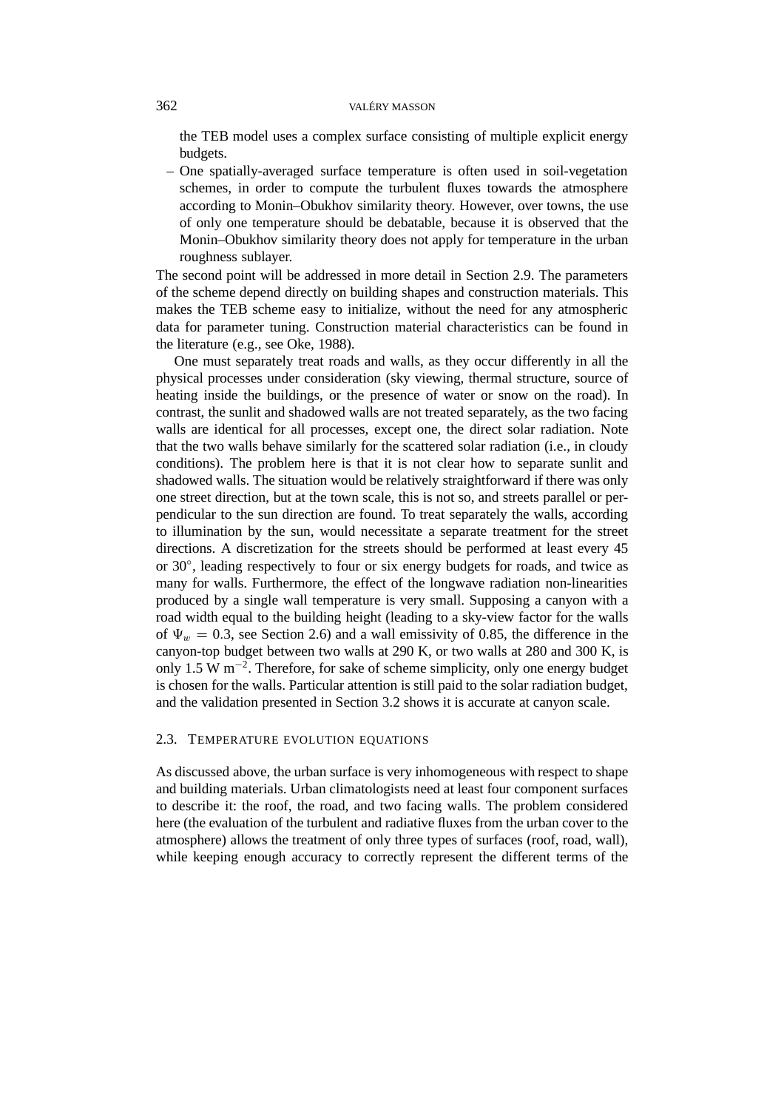the TEB model uses a complex surface consisting of multiple explicit energy budgets.

– One spatially-averaged surface temperature is often used in soil-vegetation schemes, in order to compute the turbulent fluxes towards the atmosphere according to Monin–Obukhov similarity theory. However, over towns, the use of only one temperature should be debatable, because it is observed that the Monin–Obukhov similarity theory does not apply for temperature in the urban roughness sublayer.

The second point will be addressed in more detail in Section 2.9. The parameters of the scheme depend directly on building shapes and construction materials. This makes the TEB scheme easy to initialize, without the need for any atmospheric data for parameter tuning. Construction material characteristics can be found in the literature (e.g., see Oke, 1988).

One must separately treat roads and walls, as they occur differently in all the physical processes under consideration (sky viewing, thermal structure, source of heating inside the buildings, or the presence of water or snow on the road). In contrast, the sunlit and shadowed walls are not treated separately, as the two facing walls are identical for all processes, except one, the direct solar radiation. Note that the two walls behave similarly for the scattered solar radiation (i.e., in cloudy conditions). The problem here is that it is not clear how to separate sunlit and shadowed walls. The situation would be relatively straightforward if there was only one street direction, but at the town scale, this is not so, and streets parallel or perpendicular to the sun direction are found. To treat separately the walls, according to illumination by the sun, would necessitate a separate treatment for the street directions. A discretization for the streets should be performed at least every 45 or 30◦, leading respectively to four or six energy budgets for roads, and twice as many for walls. Furthermore, the effect of the longwave radiation non-linearities produced by a single wall temperature is very small. Supposing a canyon with a road width equal to the building height (leading to a sky-view factor for the walls of  $\Psi_w = 0.3$ , see Section 2.6) and a wall emissivity of 0.85, the difference in the canyon-top budget between two walls at 290 K, or two walls at 280 and 300 K, is only 1.5 W m<sup>−</sup>2. Therefore, for sake of scheme simplicity, only one energy budget is chosen for the walls. Particular attention is still paid to the solar radiation budget, and the validation presented in Section 3.2 shows it is accurate at canyon scale.

### 2.3. TEMPERATURE EVOLUTION EQUATIONS

As discussed above, the urban surface is very inhomogeneous with respect to shape and building materials. Urban climatologists need at least four component surfaces to describe it: the roof, the road, and two facing walls. The problem considered here (the evaluation of the turbulent and radiative fluxes from the urban cover to the atmosphere) allows the treatment of only three types of surfaces (roof, road, wall), while keeping enough accuracy to correctly represent the different terms of the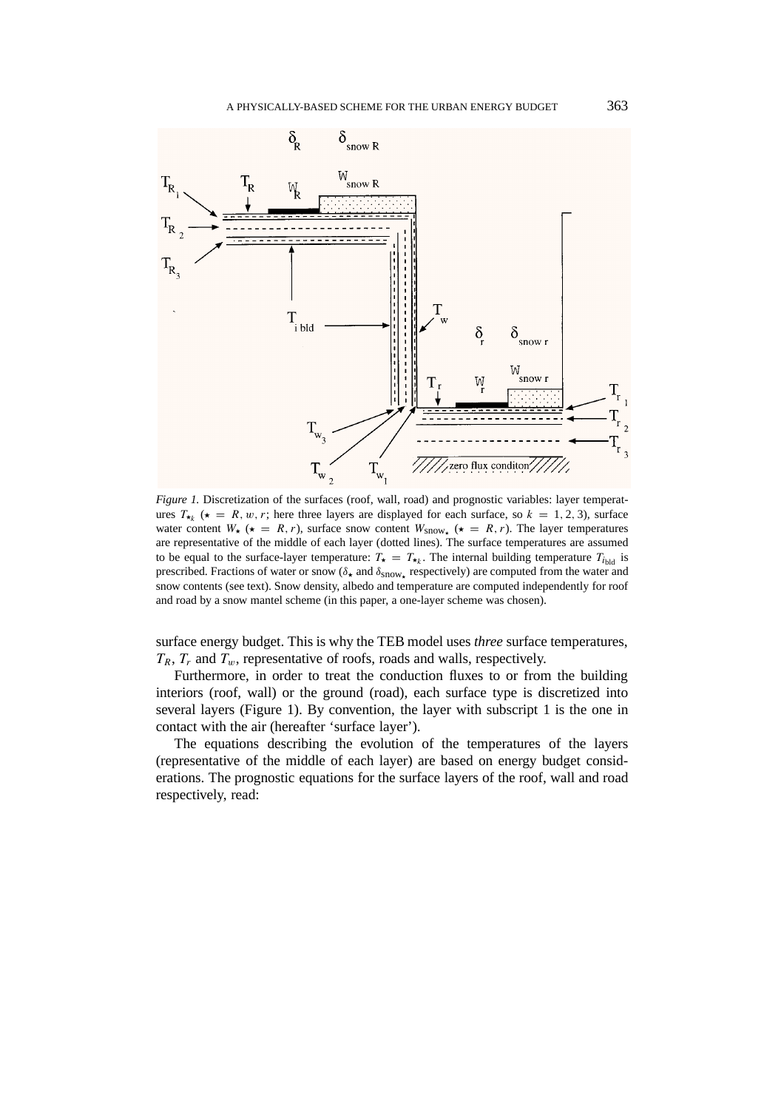

*Figure 1*. Discretization of the surfaces (roof, wall, road) and prognostic variables: layer temperatures  $T_{\star k}$  ( $\star = R, w, r$ ; here three layers are displayed for each surface, so  $k = 1, 2, 3$ ), surface water content  $W_{\star}$  ( $\star = R, r$ ), surface snow content  $W_{\text{snow}_{\star}}$  ( $\star = R, r$ ). The layer temperatures are representative of the middle of each layer (dotted lines). The surface temperatures are assumed to be equal to the surface-layer temperature:  $T_{\star} = T_{\star k}$ . The internal building temperature  $T_{i_{\text{hold}}}$  is prescribed. Fractions of water or snow ( $\delta_{\star}$  and  $\delta_{\text{snow}_{\star}}$  respectively) are computed from the water and snow contents (see text). Snow density, albedo and temperature are computed independently for roof and road by a snow mantel scheme (in this paper, a one-layer scheme was chosen).

surface energy budget. This is why the TEB model uses *three* surface temperatures,  $T_R$ ,  $T_r$  and  $T_w$ , representative of roofs, roads and walls, respectively.

Furthermore, in order to treat the conduction fluxes to or from the building interiors (roof, wall) or the ground (road), each surface type is discretized into several layers (Figure 1). By convention, the layer with subscript 1 is the one in contact with the air (hereafter 'surface layer').

The equations describing the evolution of the temperatures of the layers (representative of the middle of each layer) are based on energy budget considerations. The prognostic equations for the surface layers of the roof, wall and road respectively, read: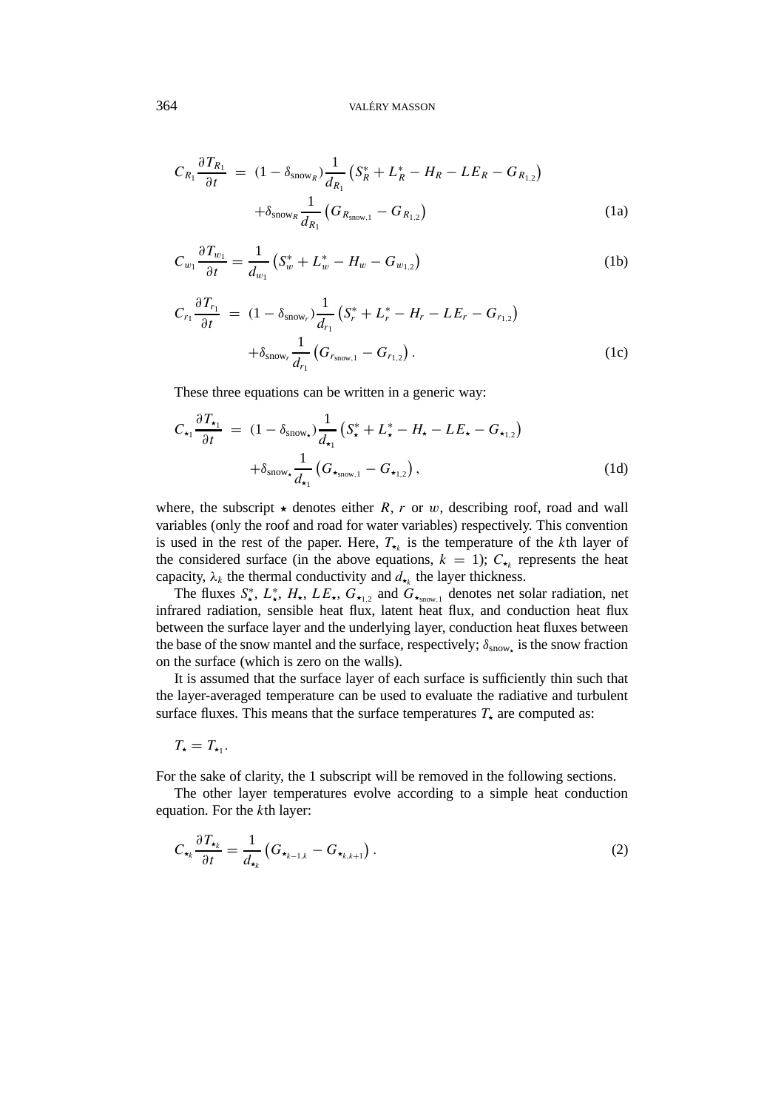$$
C_{R_1} \frac{\partial T_{R_1}}{\partial t} = (1 - \delta_{\text{snow}_R}) \frac{1}{d_{R_1}} \left( S_R^* + L_R^* - H_R - LE_R - G_{R_{1,2}} \right) + \delta_{\text{snow}_R} \frac{1}{d_{R_1}} \left( G_{R_{\text{snow},1}} - G_{R_{1,2}} \right)
$$
(1a)

$$
C_{w_1} \frac{\partial T_{w_1}}{\partial t} = \frac{1}{d_{w_1}} \left( S_w^* + L_w^* - H_w - G_{w_{1,2}} \right)
$$
 (1b)

$$
C_{r_1} \frac{\partial T_{r_1}}{\partial t} = (1 - \delta_{\text{snow}_r}) \frac{1}{d_{r_1}} \left( S_r^* + L_r^* - H_r - LE_r - G_{r_{1,2}} \right)
$$

$$
+ \delta_{\text{snow}_r} \frac{1}{d_{r_1}} \left( G_{r_{\text{snow},1}} - G_{r_{1,2}} \right). \tag{1c}
$$

These three equations can be written in a generic way:

$$
C_{\star_1} \frac{\partial T_{\star_1}}{\partial t} = (1 - \delta_{\text{snow}_{\star}}) \frac{1}{d_{\star_1}} \left( S_{\star}^* + L_{\star}^* - H_{\star} - LE_{\star} - G_{\star_{1,2}} \right) + \delta_{\text{snow}_{\star}} \frac{1}{d_{\star_1}} \left( G_{\star_{\text{snow},1}} - G_{\star_{1,2}} \right),
$$
(1d)

where, the subscript  $\star$  denotes either *R*, *r* or *w*, describing roof, road and wall variables (only the roof and road for water variables) respectively. This convention is used in the rest of the paper. Here,  $T_{\star k}$  is the temperature of the *k*th layer of the considered surface (in the above equations,  $k = 1$ );  $C_{\star k}$  represents the heat capacity,  $\lambda_k$  the thermal conductivity and  $d_{\star_k}$  the layer thickness.

The fluxes  $S^*_{\star}$ ,  $L^*_{\star}$ ,  $H_{\star}$ ,  $LE_{\star}$ ,  $G_{\star_{1,2}}$  and  $G_{\star_{\text{snow},1}}$  denotes net solar radiation, net infrared radiation, sensible heat flux, latent heat flux, and conduction heat flux between the surface layer and the underlying layer, conduction heat fluxes between the base of the snow mantel and the surface, respectively;  $\delta_{\text{snow}}$  is the snow fraction on the surface (which is zero on the walls).

It is assumed that the surface layer of each surface is sufficiently thin such that the layer-averaged temperature can be used to evaluate the radiative and turbulent surface fluxes. This means that the surface temperatures  $T_{\star}$  are computed as:

$$
T_\star = T_{\star_1}.
$$

For the sake of clarity, the 1 subscript will be removed in the following sections.

The other layer temperatures evolve according to a simple heat conduction equation. For the *k*th layer:

$$
C_{\star_k} \frac{\partial T_{\star_k}}{\partial t} = \frac{1}{d_{\star_k}} \left( G_{\star_{k-1,k}} - G_{\star_{k,k+1}} \right). \tag{2}
$$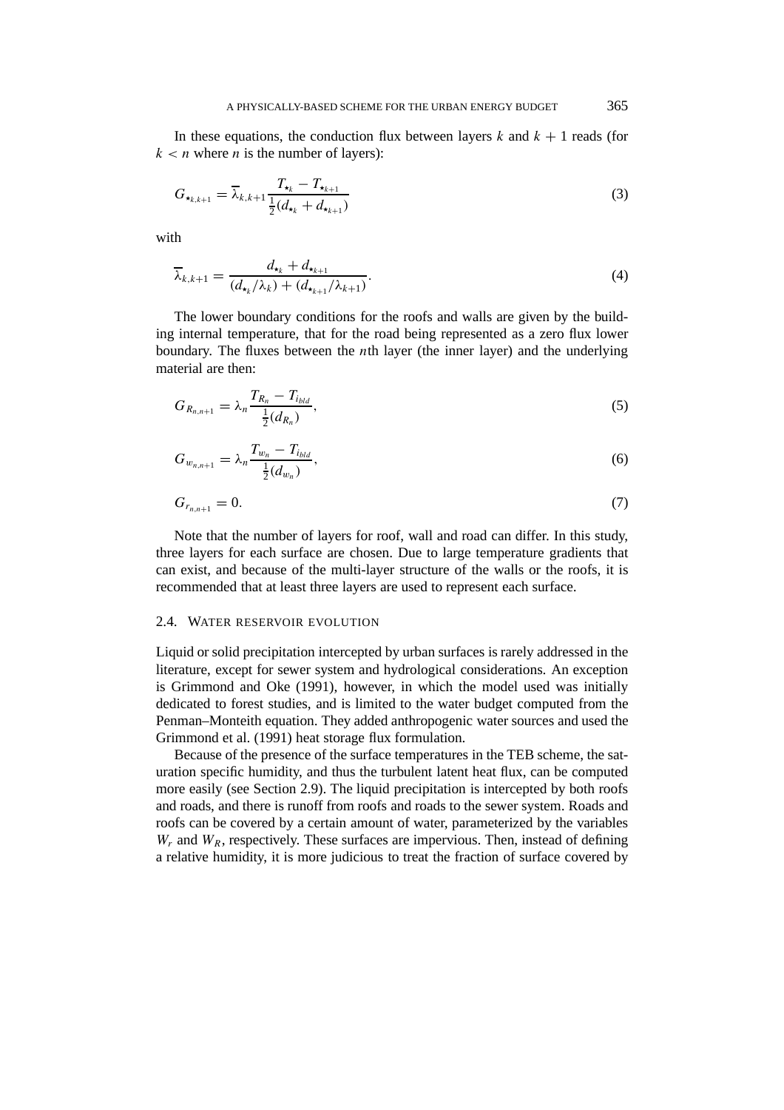In these equations, the conduction flux between layers  $k$  and  $k + 1$  reads (for  $k < n$  where *n* is the number of layers):

$$
G_{\star_{k,k+1}} = \overline{\lambda}_{k,k+1} \frac{T_{\star_k} - T_{\star_{k+1}}}{\frac{1}{2}(d_{\star_k} + d_{\star_{k+1}})}
$$
(3)

with

$$
\overline{\lambda}_{k,k+1} = \frac{d_{\mathbf{x}_k} + d_{\mathbf{x}_{k+1}}}{(d_{\mathbf{x}_k}/\lambda_k) + (d_{\mathbf{x}_{k+1}}/\lambda_{k+1})}.
$$
\n(4)

The lower boundary conditions for the roofs and walls are given by the building internal temperature, that for the road being represented as a zero flux lower boundary. The fluxes between the *n*th layer (the inner layer) and the underlying material are then:

$$
G_{R_{n,n+1}} = \lambda_n \frac{T_{R_n} - T_{i_{bld}}}{\frac{1}{2}(d_{R_n})},
$$
\n(5)

$$
G_{w_{n,n+1}} = \lambda_n \frac{T_{w_n} - T_{i_{bld}}}{\frac{1}{2}(d_{w_n})},
$$
\n(6)

$$
G_{r_{n,n+1}} = 0.\tag{7}
$$

Note that the number of layers for roof, wall and road can differ. In this study, three layers for each surface are chosen. Due to large temperature gradients that can exist, and because of the multi-layer structure of the walls or the roofs, it is recommended that at least three layers are used to represent each surface.

## 2.4. WATER RESERVOIR EVOLUTION

Liquid or solid precipitation intercepted by urban surfaces is rarely addressed in the literature, except for sewer system and hydrological considerations. An exception is Grimmond and Oke (1991), however, in which the model used was initially dedicated to forest studies, and is limited to the water budget computed from the Penman–Monteith equation. They added anthropogenic water sources and used the Grimmond et al. (1991) heat storage flux formulation.

Because of the presence of the surface temperatures in the TEB scheme, the saturation specific humidity, and thus the turbulent latent heat flux, can be computed more easily (see Section 2.9). The liquid precipitation is intercepted by both roofs and roads, and there is runoff from roofs and roads to the sewer system. Roads and roofs can be covered by a certain amount of water, parameterized by the variables  $W_r$  and  $W_R$ , respectively. These surfaces are impervious. Then, instead of defining a relative humidity, it is more judicious to treat the fraction of surface covered by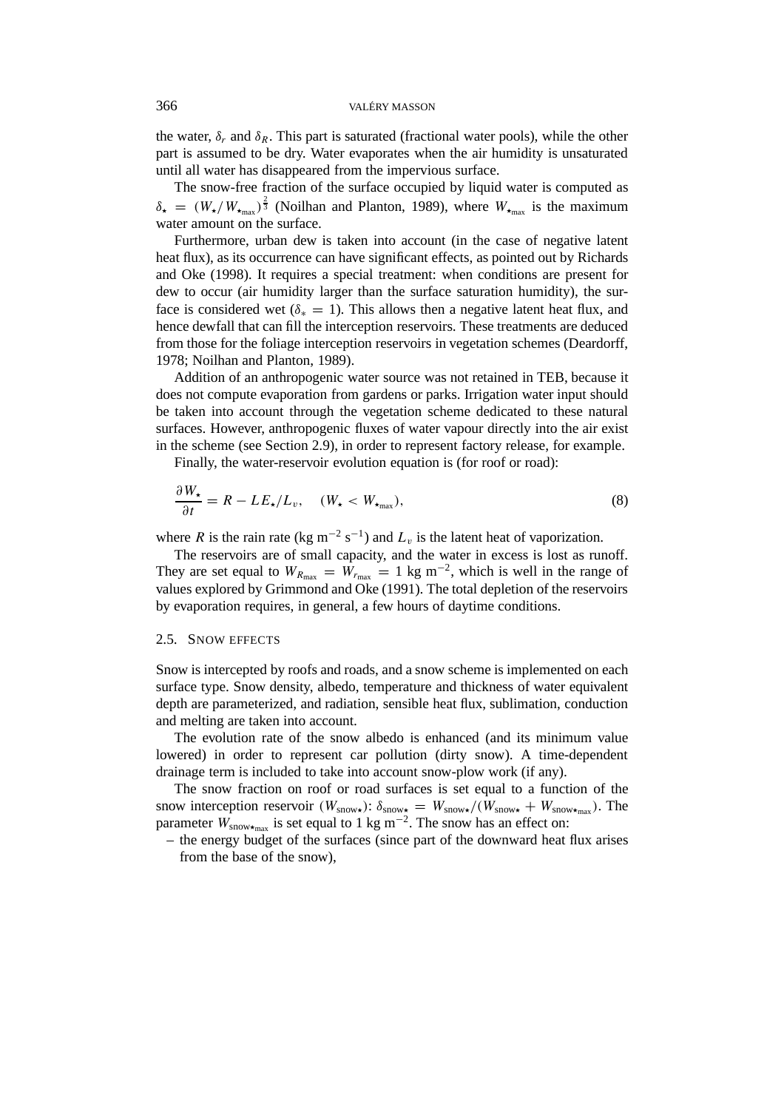the water,  $\delta_r$  and  $\delta_R$ . This part is saturated (fractional water pools), while the other part is assumed to be dry. Water evaporates when the air humidity is unsaturated until all water has disappeared from the impervious surface.

The snow-free fraction of the surface occupied by liquid water is computed as  $\delta_{\star} = (W_{\star}/W_{\star_{\text{max}}})^{\frac{2}{3}}$  (Noilhan and Planton, 1989), where  $W_{\star_{\text{max}}}$  is the maximum water amount on the surface.

Furthermore, urban dew is taken into account (in the case of negative latent heat flux), as its occurrence can have significant effects, as pointed out by Richards and Oke (1998). It requires a special treatment: when conditions are present for dew to occur (air humidity larger than the surface saturation humidity), the surface is considered wet ( $\delta_* = 1$ ). This allows then a negative latent heat flux, and hence dewfall that can fill the interception reservoirs. These treatments are deduced from those for the foliage interception reservoirs in vegetation schemes (Deardorff, 1978; Noilhan and Planton, 1989).

Addition of an anthropogenic water source was not retained in TEB, because it does not compute evaporation from gardens or parks. Irrigation water input should be taken into account through the vegetation scheme dedicated to these natural surfaces. However, anthropogenic fluxes of water vapour directly into the air exist in the scheme (see Section 2.9), in order to represent factory release, for example.

Finally, the water-reservoir evolution equation is (for roof or road): *∂W?*

$$
\frac{\partial W_{\star}}{\partial t} = R - LE_{\star}/L_v, \quad (W_{\star} < W_{\star_{\text{max}}}), \tag{8}
$$

where *R* is the rain rate (kg m<sup>-2</sup> s<sup>-1</sup>) and  $L_v$  is the latent heat of vaporization.

The reservoirs are of small capacity, and the water in excess is lost as runoff. They are set equal to  $W_{R_{\text{max}}} = \hat{W}_{r_{\text{max}}} = 1$  kg m<sup>-2</sup>, which is well in the range of values explored by Grimmond and Oke (1991). The total depletion of the reservoirs by evaporation requires, in general, a few hours of daytime conditions.

### 2.5. SNOW EFFECTS

Snow is intercepted by roofs and roads, and a snow scheme is implemented on each surface type. Snow density, albedo, temperature and thickness of water equivalent depth are parameterized, and radiation, sensible heat flux, sublimation, conduction and melting are taken into account.

The evolution rate of the snow albedo is enhanced (and its minimum value lowered) in order to represent car pollution (dirty snow). A time-dependent drainage term is included to take into account snow-plow work (if any).

The snow fraction on roof or road surfaces is set equal to a function of the snow interception reservoir  $(W_{\text{snow}})$ :  $\delta_{\text{snow}} = W_{\text{snow}} / (W_{\text{snow}} + W_{\text{snow}})$ . The parameter  $W_{\text{snow} \star_{\text{max}}}$  is set equal to 1 kg m<sup>-2</sup>. The snow has an effect on:

– the energy budget of the surfaces (since part of the downward heat flux arises from the base of the snow),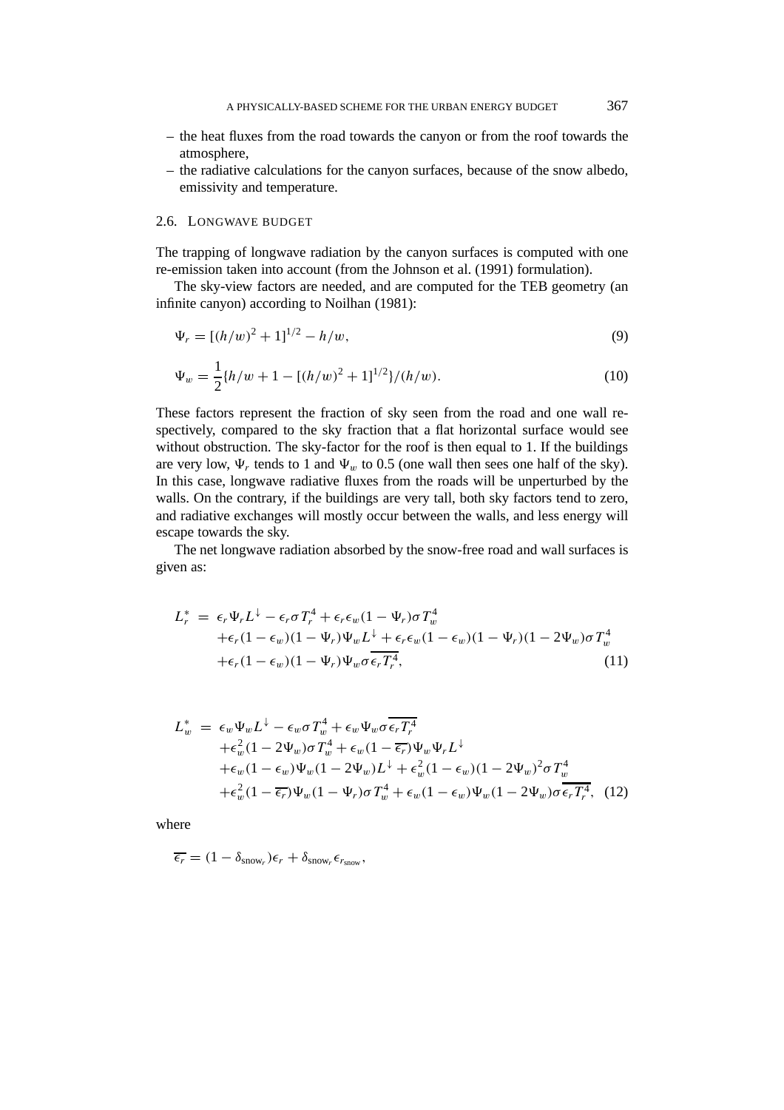- the heat fluxes from the road towards the canyon or from the roof towards the atmosphere,
- the radiative calculations for the canyon surfaces, because of the snow albedo, emissivity and temperature.

### 2.6. LONGWAVE BUDGET

The trapping of longwave radiation by the canyon surfaces is computed with one re-emission taken into account (from the Johnson et al. (1991) formulation).

The sky-view factors are needed, and are computed for the TEB geometry (an infinite canyon) according to Noilhan (1981):

$$
\Psi_r = [(h/w)^2 + 1]^{1/2} - h/w,\tag{9}
$$

$$
\Psi_w = \frac{1}{2} \{ h/w + 1 - \left[ (h/w)^2 + 1 \right]^{1/2} \} / (h/w). \tag{10}
$$

These factors represent the fraction of sky seen from the road and one wall respectively, compared to the sky fraction that a flat horizontal surface would see without obstruction. The sky-factor for the roof is then equal to 1. If the buildings are very low,  $\Psi_r$  tends to 1 and  $\Psi_w$  to 0.5 (one wall then sees one half of the sky). In this case, longwave radiative fluxes from the roads will be unperturbed by the walls. On the contrary, if the buildings are very tall, both sky factors tend to zero, and radiative exchanges will mostly occur between the walls, and less energy will escape towards the sky.

The net longwave radiation absorbed by the snow-free road and wall surfaces is given as:

$$
L_r^* = \epsilon_r \Psi_r L^{\downarrow} - \epsilon_r \sigma T_r^4 + \epsilon_r \epsilon_w (1 - \Psi_r) \sigma T_w^4
$$
  
+
$$
\epsilon_r (1 - \epsilon_w) (1 - \Psi_r) \Psi_w L^{\downarrow} + \epsilon_r \epsilon_w (1 - \epsilon_w) (1 - \Psi_r) (1 - 2\Psi_w) \sigma T_w^4
$$
  
+
$$
\epsilon_r (1 - \epsilon_w) (1 - \Psi_r) \Psi_w \sigma \overline{\epsilon_r T_r^4},
$$
(11)

$$
L_w^* = \epsilon_w \Psi_w L^{\downarrow} - \epsilon_w \sigma T_w^4 + \epsilon_w \Psi_w \sigma \overline{\epsilon_r T_r^4}
$$
  
+
$$
\epsilon_w^2 (1 - 2\Psi_w) \sigma T_w^4 + \epsilon_w (1 - \overline{\epsilon_r}) \Psi_w \Psi_r L^{\downarrow}
$$
  
+
$$
\epsilon_w (1 - \epsilon_w) \Psi_w (1 - 2\Psi_w) L^{\downarrow} + \epsilon_w^2 (1 - \epsilon_w) (1 - 2\Psi_w)^2 \sigma T_w^4
$$
  
+
$$
\epsilon_w^2 (1 - \overline{\epsilon_r}) \Psi_w (1 - \Psi_r) \sigma T_w^4 + \epsilon_w (1 - \epsilon_w) \Psi_w (1 - 2\Psi_w) \sigma \overline{\epsilon_r T_r^4}, \quad (12)
$$

where

 $\overline{\epsilon_r} = (1 - \delta_{\text{snow.}})\epsilon_r + \delta_{\text{snow.}}\epsilon_{r_{\text{snow}}},$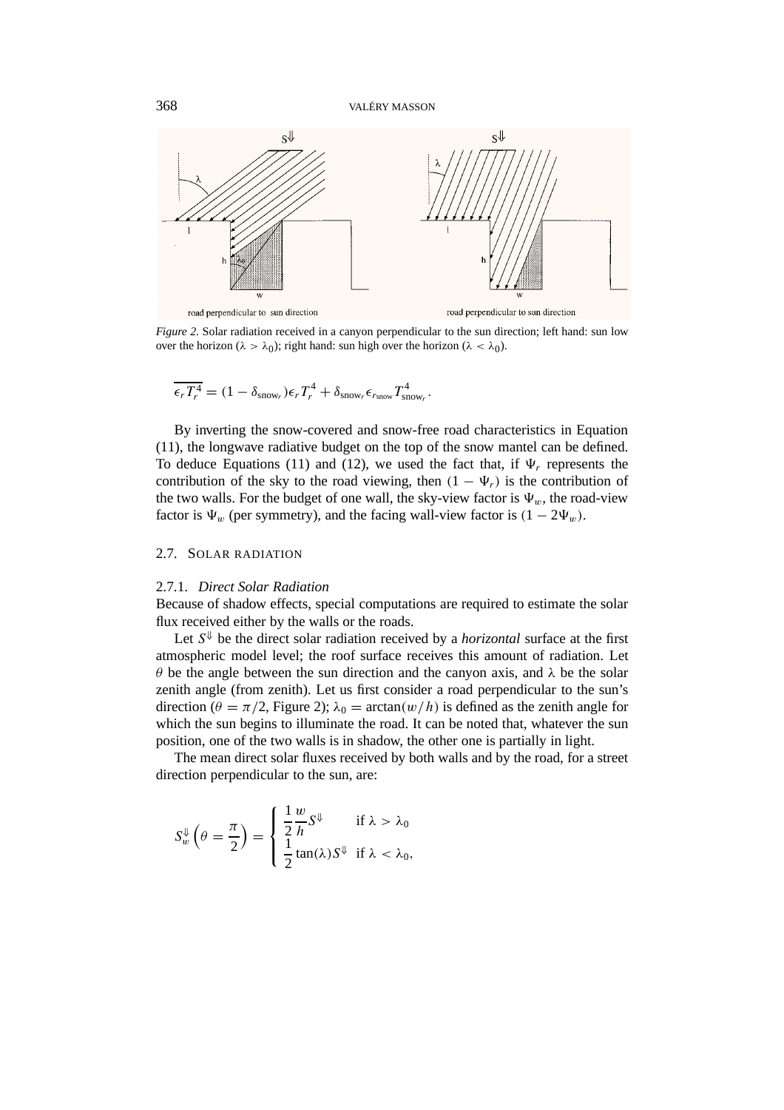

road perpendicular to sun direction

road perpendicular to sun direction

*Figure 2.* Solar radiation received in a canyon perpendicular to the sun direction; left hand: sun low over the horizon ( $λ > λ_0$ ); right hand: sun high over the horizon ( $λ < λ_0$ ).

$$
\overline{\epsilon_r T_r^4} = (1 - \delta_{\text{snow}_r}) \epsilon_r T_r^4 + \delta_{\text{snow}_r} \epsilon_{r_{\text{snow}}} T_{\text{snow}_r}^4.
$$

By inverting the snow-covered and snow-free road characteristics in Equation (11), the longwave radiative budget on the top of the snow mantel can be defined. To deduce Equations (11) and (12), we used the fact that, if  $\Psi_r$  represents the contribution of the sky to the road viewing, then  $(1 - \Psi_r)$  is the contribution of the two walls. For the budget of one wall, the sky-view factor is  $\Psi_{w}$ , the road-view factor is  $\Psi_w$  (per symmetry), and the facing wall-view factor is  $(1 - 2\Psi_w)$ .

## 2.7. SOLAR RADIATION

#### 2.7.1. *Direct Solar Radiation*

Because of shadow effects, special computations are required to estimate the solar flux received either by the walls or the roads.

Let  $S^{\Downarrow}$  be the direct solar radiation received by a *horizontal* surface at the first atmospheric model level; the roof surface receives this amount of radiation. Let *θ* be the angle between the sun direction and the canyon axis, and  $\lambda$  be the solar zenith angle (from zenith). Let us first consider a road perpendicular to the sun's direction ( $\theta = \pi/2$ , Figure 2);  $\lambda_0 = \arctan(w/h)$  is defined as the zenith angle for which the sun begins to illuminate the road. It can be noted that, whatever the sun position, one of the two walls is in shadow, the other one is partially in light.

The mean direct solar fluxes received by both walls and by the road, for a street direction perpendicular to the sun, are:

$$
S_w^{\Downarrow} \left( \theta = \frac{\pi}{2} \right) = \begin{cases} \frac{1}{2} \frac{w}{h} S^{\Downarrow} & \text{if } \lambda > \lambda_0 \\ \frac{1}{2} \tan(\lambda) S^{\Downarrow} & \text{if } \lambda < \lambda_0, \end{cases}
$$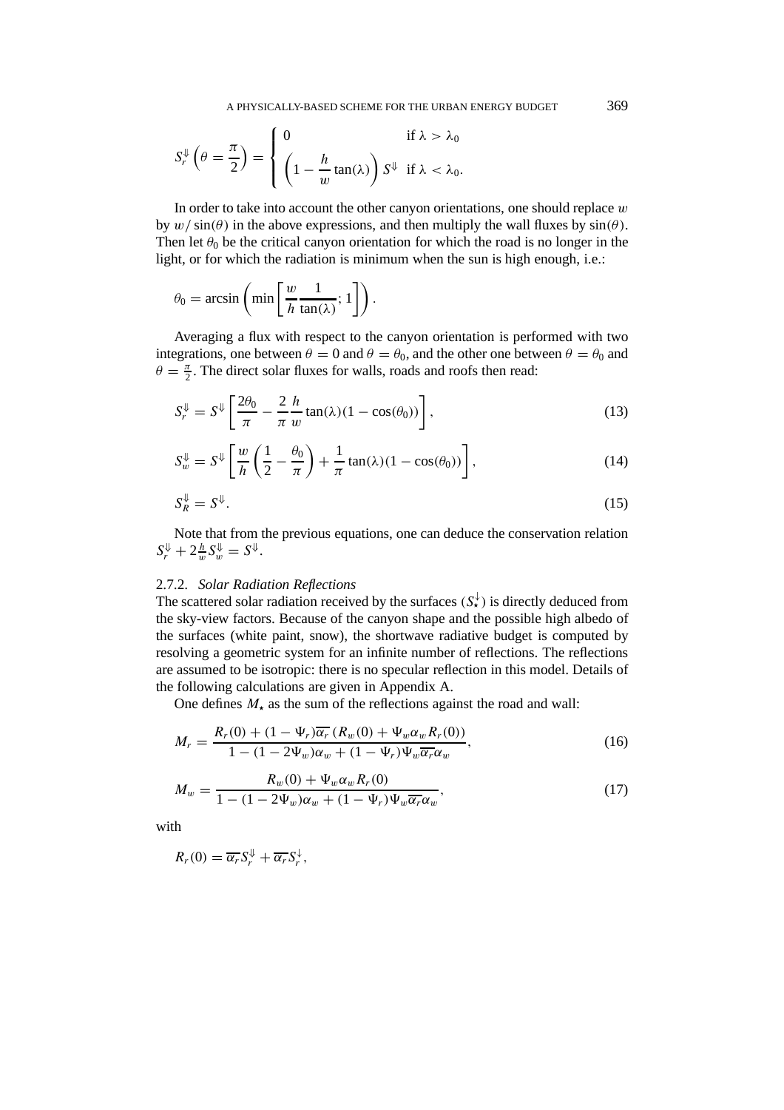$$
S_r^{\Downarrow} \left( \theta = \frac{\pi}{2} \right) = \begin{cases} 0 & \text{if } \lambda > \lambda_0 \\ \left( 1 - \frac{h}{w} \tan(\lambda) \right) S^{\Downarrow} & \text{if } \lambda < \lambda_0. \end{cases}
$$

In order to take into account the other canyon orientations, one should replace *w* by  $w/\sin(\theta)$  in the above expressions, and then multiply the wall fluxes by  $\sin(\theta)$ . Then let  $\theta_0$  be the critical canyon orientation for which the road is no longer in the light, or for which the radiation is minimum when the sun is high enough, i.e.:

$$
\theta_0 = \arcsin\left(\min\left[\frac{w}{h}\frac{1}{\tan(\lambda)}; 1\right]\right).
$$

Averaging a flux with respect to the canyon orientation is performed with two integrations, one between  $\theta = 0$  and  $\theta = \theta_0$ , and the other one between  $\theta = \theta_0$  and  $\theta = \frac{\pi}{2}$ . The direct solar fluxes for walls, roads and roofs then read:

$$
S_r^{\downarrow\downarrow} = S^{\downarrow\downarrow} \left[ \frac{2\theta_0}{\pi} - \frac{2}{\pi} \frac{h}{w} \tan(\lambda)(1 - \cos(\theta_0)) \right], \tag{13}
$$

$$
S_w^{\Downarrow} = S^{\Downarrow} \left[ \frac{w}{h} \left( \frac{1}{2} - \frac{\theta_0}{\pi} \right) + \frac{1}{\pi} \tan(\lambda)(1 - \cos(\theta_0)) \right], \tag{14}
$$

$$
S_R^{\downarrow\downarrow} = S^{\downarrow\downarrow}.\tag{15}
$$

Note that from the previous equations, one can deduce the conservation relation  $S_r^{\Downarrow} + 2\frac{h}{w}S_w^{\Downarrow} = S^{\Downarrow}.$ 

# 2.7.2. *Solar Radiation Reflections*

The scattered solar radiation received by the surfaces  $(S_{\star}^{\downarrow})$  is directly deduced from the sky-view factors. Because of the canyon shape and the possible high albedo of the surfaces (white paint, snow), the shortwave radiative budget is computed by resolving a geometric system for an infinite number of reflections. The reflections are assumed to be isotropic: there is no specular reflection in this model. Details of the following calculations are given in Appendix A.

One defines  $M_{\star}$  as the sum of the reflections against the road and wall:

$$
M_r = \frac{R_r(0) + (1 - \Psi_r)\overline{\alpha_r} (R_w(0) + \Psi_w \alpha_w R_r(0))}{1 - (1 - 2\Psi_w)\alpha_w + (1 - \Psi_r)\Psi_w \overline{\alpha_r} \alpha_w},
$$
(16)

$$
M_w = \frac{R_w(0) + \Psi_w \alpha_w R_r(0)}{1 - (1 - 2\Psi_w)\alpha_w + (1 - \Psi_r)\Psi_w \overline{\alpha_r} \alpha_w},
$$
\n(17)

with

 $R_r(0) = \overline{\alpha_r} S_r^{\downarrow} + \overline{\alpha_r} S_r^{\downarrow}$ ,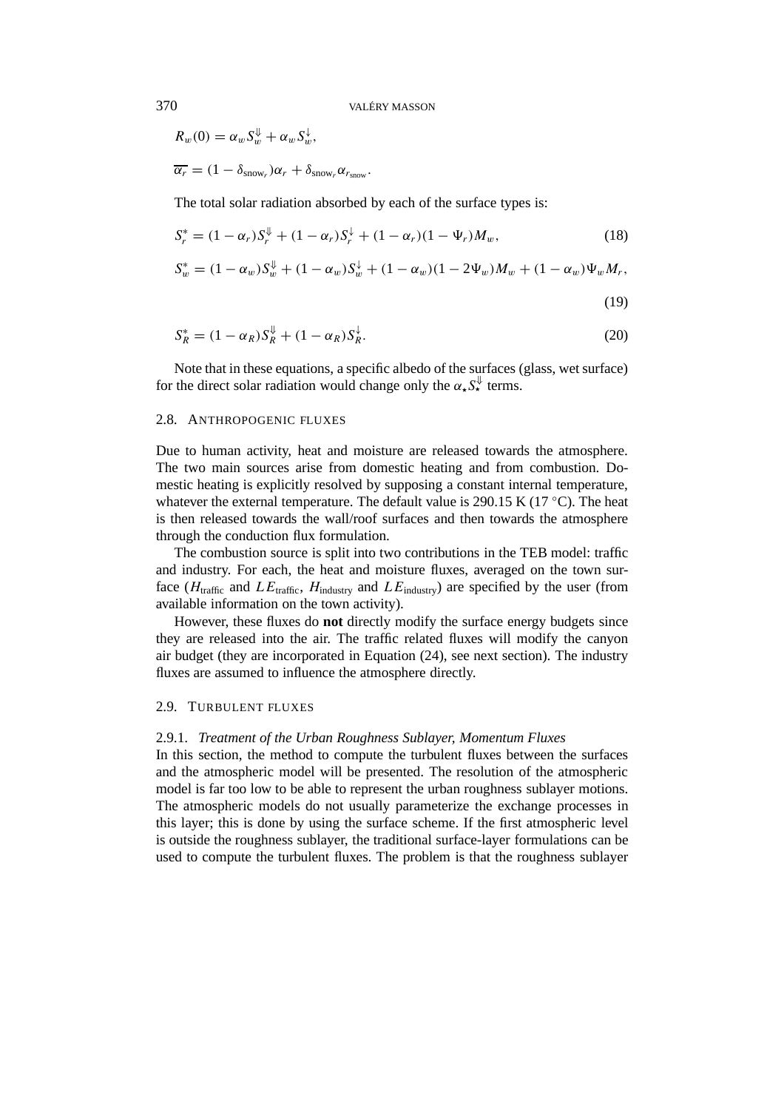$R_w(0) = \alpha_w S_w^{\Downarrow} + \alpha_w S_w^{\Downarrow},$  $\overline{\alpha_r} = (1 - \delta_{\text{snow.}}) \alpha_r + \delta_{\text{snow.}} \alpha_{r_{\text{conv.}}}.$ 

The total solar radiation absorbed by each of the surface types is:

$$
S_r^* = (1 - \alpha_r)S_r^{\Downarrow} + (1 - \alpha_r)S_r^{\Downarrow} + (1 - \alpha_r)(1 - \Psi_r)M_w, \qquad (18)
$$

$$
S_w^* = (1 - \alpha_w) S_w^{\Downarrow} + (1 - \alpha_w) S_w^{\downarrow} + (1 - \alpha_w) (1 - 2\Psi_w) M_w + (1 - \alpha_w) \Psi_w M_r,
$$

$$
(19)
$$

$$
S_R^* = (1 - \alpha_R) S_R^{\downarrow} + (1 - \alpha_R) S_R^{\downarrow}.
$$
 (20)

Note that in these equations, a specific albedo of the surfaces (glass, wet surface) for the direct solar radiation would change only the  $\alpha_{\star} S_{\star}^{\Downarrow}$  terms.

## 2.8. ANTHROPOGENIC FLUXES

Due to human activity, heat and moisture are released towards the atmosphere. The two main sources arise from domestic heating and from combustion. Domestic heating is explicitly resolved by supposing a constant internal temperature, whatever the external temperature. The default value is 290.15 K (17 $°C$ ). The heat is then released towards the wall/roof surfaces and then towards the atmosphere through the conduction flux formulation.

The combustion source is split into two contributions in the TEB model: traffic and industry. For each, the heat and moisture fluxes, averaged on the town surface ( $H_{\text{traffic}}$  and  $LE_{\text{traffic}}$ ,  $H_{\text{industry}}$  and  $LE_{\text{industry}}$ ) are specified by the user (from available information on the town activity).

However, these fluxes do **not** directly modify the surface energy budgets since they are released into the air. The traffic related fluxes will modify the canyon air budget (they are incorporated in Equation (24), see next section). The industry fluxes are assumed to influence the atmosphere directly.

### 2.9. TURBULENT FLUXES

### 2.9.1. *Treatment of the Urban Roughness Sublayer, Momentum Fluxes*

In this section, the method to compute the turbulent fluxes between the surfaces and the atmospheric model will be presented. The resolution of the atmospheric model is far too low to be able to represent the urban roughness sublayer motions. The atmospheric models do not usually parameterize the exchange processes in this layer; this is done by using the surface scheme. If the first atmospheric level is outside the roughness sublayer, the traditional surface-layer formulations can be used to compute the turbulent fluxes. The problem is that the roughness sublayer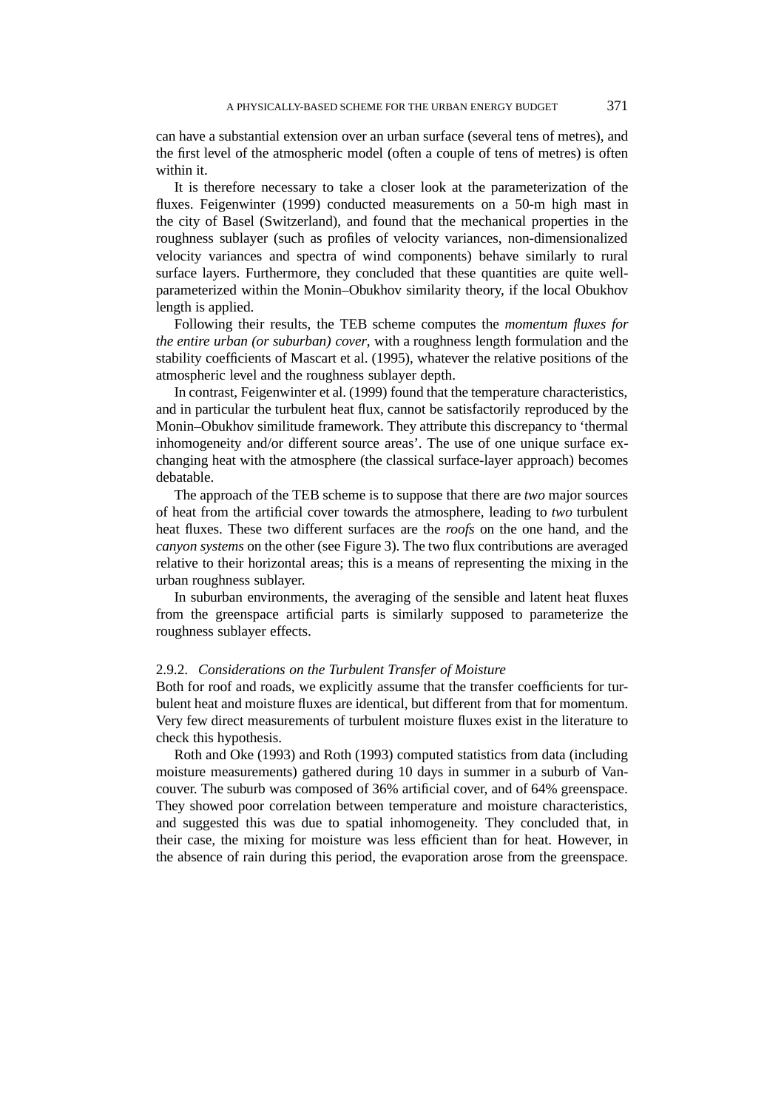can have a substantial extension over an urban surface (several tens of metres), and the first level of the atmospheric model (often a couple of tens of metres) is often within it.

It is therefore necessary to take a closer look at the parameterization of the fluxes. Feigenwinter (1999) conducted measurements on a 50-m high mast in the city of Basel (Switzerland), and found that the mechanical properties in the roughness sublayer (such as profiles of velocity variances, non-dimensionalized velocity variances and spectra of wind components) behave similarly to rural surface layers. Furthermore, they concluded that these quantities are quite wellparameterized within the Monin–Obukhov similarity theory, if the local Obukhov length is applied.

Following their results, the TEB scheme computes the *momentum fluxes for the entire urban (or suburban) cover*, with a roughness length formulation and the stability coefficients of Mascart et al. (1995), whatever the relative positions of the atmospheric level and the roughness sublayer depth.

In contrast, Feigenwinter et al. (1999) found that the temperature characteristics, and in particular the turbulent heat flux, cannot be satisfactorily reproduced by the Monin–Obukhov similitude framework. They attribute this discrepancy to 'thermal inhomogeneity and/or different source areas'. The use of one unique surface exchanging heat with the atmosphere (the classical surface-layer approach) becomes debatable.

The approach of the TEB scheme is to suppose that there are *two* major sources of heat from the artificial cover towards the atmosphere, leading to *two* turbulent heat fluxes. These two different surfaces are the *roofs* on the one hand, and the *canyon systems* on the other (see Figure 3). The two flux contributions are averaged relative to their horizontal areas; this is a means of representing the mixing in the urban roughness sublayer.

In suburban environments, the averaging of the sensible and latent heat fluxes from the greenspace artificial parts is similarly supposed to parameterize the roughness sublayer effects.

### 2.9.2. *Considerations on the Turbulent Transfer of Moisture*

Both for roof and roads, we explicitly assume that the transfer coefficients for turbulent heat and moisture fluxes are identical, but different from that for momentum. Very few direct measurements of turbulent moisture fluxes exist in the literature to check this hypothesis.

Roth and Oke (1993) and Roth (1993) computed statistics from data (including moisture measurements) gathered during 10 days in summer in a suburb of Vancouver. The suburb was composed of 36% artificial cover, and of 64% greenspace. They showed poor correlation between temperature and moisture characteristics, and suggested this was due to spatial inhomogeneity. They concluded that, in their case, the mixing for moisture was less efficient than for heat. However, in the absence of rain during this period, the evaporation arose from the greenspace.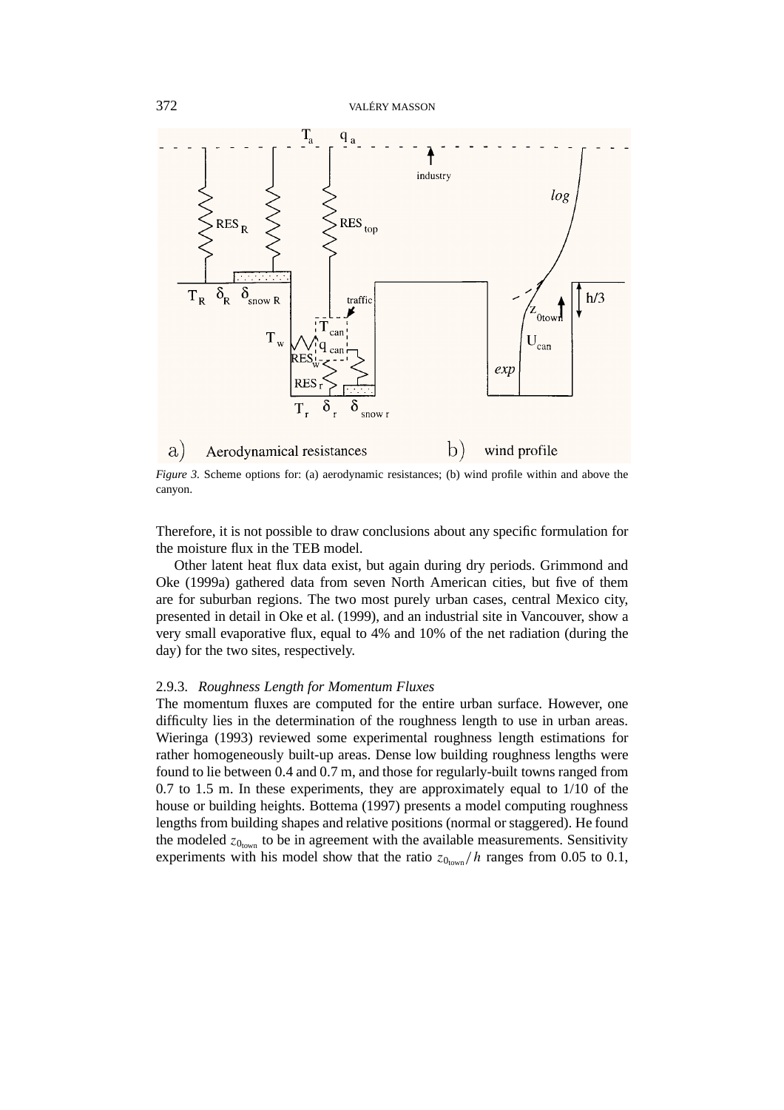

*Figure 3.* Scheme options for: (a) aerodynamic resistances; (b) wind profile within and above the canyon.

Therefore, it is not possible to draw conclusions about any specific formulation for the moisture flux in the TEB model.

Other latent heat flux data exist, but again during dry periods. Grimmond and Oke (1999a) gathered data from seven North American cities, but five of them are for suburban regions. The two most purely urban cases, central Mexico city, presented in detail in Oke et al. (1999), and an industrial site in Vancouver, show a very small evaporative flux, equal to 4% and 10% of the net radiation (during the day) for the two sites, respectively.

### 2.9.3. *Roughness Length for Momentum Fluxes*

The momentum fluxes are computed for the entire urban surface. However, one difficulty lies in the determination of the roughness length to use in urban areas. Wieringa (1993) reviewed some experimental roughness length estimations for rather homogeneously built-up areas. Dense low building roughness lengths were found to lie between 0.4 and 0.7 m, and those for regularly-built towns ranged from 0.7 to 1.5 m. In these experiments, they are approximately equal to 1/10 of the house or building heights. Bottema (1997) presents a model computing roughness lengths from building shapes and relative positions (normal or staggered). He found the modeled  $z_{0_{\text{town}}}$  to be in agreement with the available measurements. Sensitivity experiments with his model show that the ratio  $z_{0_{\text{frown}}}/h$  ranges from 0.05 to 0.1,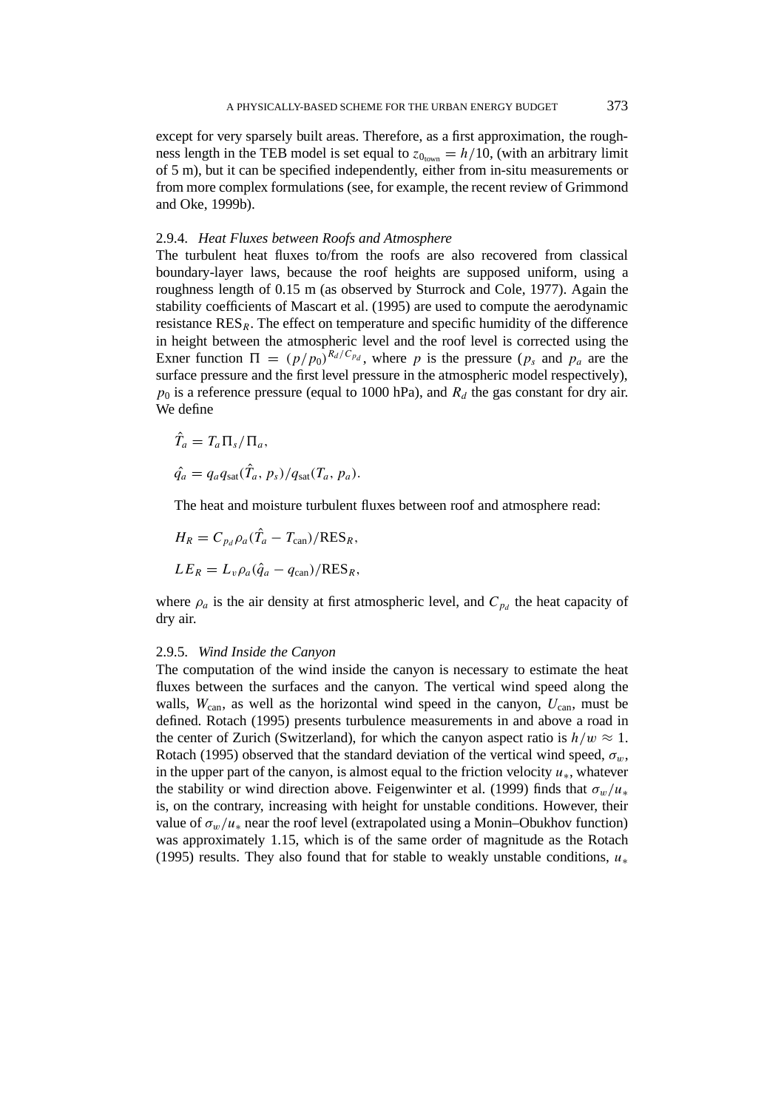except for very sparsely built areas. Therefore, as a first approximation, the roughness length in the TEB model is set equal to  $z_{0_{\text{row}}} = h/10$ , (with an arbitrary limit of 5 m), but it can be specified independently, either from in-situ measurements or from more complex formulations (see, for example, the recent review of Grimmond and Oke, 1999b).

### 2.9.4. *Heat Fluxes between Roofs and Atmosphere*

The turbulent heat fluxes to/from the roofs are also recovered from classical boundary-layer laws, because the roof heights are supposed uniform, using a roughness length of 0.15 m (as observed by Sturrock and Cole, 1977). Again the stability coefficients of Mascart et al. (1995) are used to compute the aerodynamic resistance RES*R*. The effect on temperature and specific humidity of the difference in height between the atmospheric level and the roof level is corrected using the Exner function  $\Pi = (p/p_0)^{R_d/C_{p_d}}$ , where p is the pressure  $(p_s$  and  $p_a$  are the surface pressure and the first level pressure in the atmospheric model respectively),  $p_0$  is a reference pressure (equal to 1000 hPa), and  $R_d$  the gas constant for dry air. We define

$$
\hat{T}_a = T_a \Pi_s / \Pi_a,
$$
  
\n
$$
\hat{q}_a = q_a q_{sat} (\hat{T}_a, p_s) / q_{sat} (T_a, p_a).
$$

The heat and moisture turbulent fluxes between roof and atmosphere read:

$$
H_R = C_{p_d} \rho_a (\hat{T}_a - T_{\text{can}}) / \text{RES}_R,
$$
  

$$
LE_R = L_v \rho_a (\hat{q}_a - q_{\text{can}}) / \text{RES}_R,
$$

where  $\rho_a$  is the air density at first atmospheric level, and  $C_{p_d}$  the heat capacity of dry air.

#### 2.9.5. *Wind Inside the Canyon*

The computation of the wind inside the canyon is necessary to estimate the heat fluxes between the surfaces and the canyon. The vertical wind speed along the walls,  $W_{\text{can}}$ , as well as the horizontal wind speed in the canyon,  $U_{\text{can}}$ , must be defined. Rotach (1995) presents turbulence measurements in and above a road in the center of Zurich (Switzerland), for which the canyon aspect ratio is  $h/w \approx 1$ . Rotach (1995) observed that the standard deviation of the vertical wind speed,  $\sigma_w$ , in the upper part of the canyon, is almost equal to the friction velocity  $u_*$ , whatever the stability or wind direction above. Feigenwinter et al. (1999) finds that  $\sigma_w/u_*$ is, on the contrary, increasing with height for unstable conditions. However, their value of  $\sigma_w/u_*$  near the roof level (extrapolated using a Monin–Obukhov function) was approximately 1.15, which is of the same order of magnitude as the Rotach (1995) results. They also found that for stable to weakly unstable conditions, *u*<sup>∗</sup>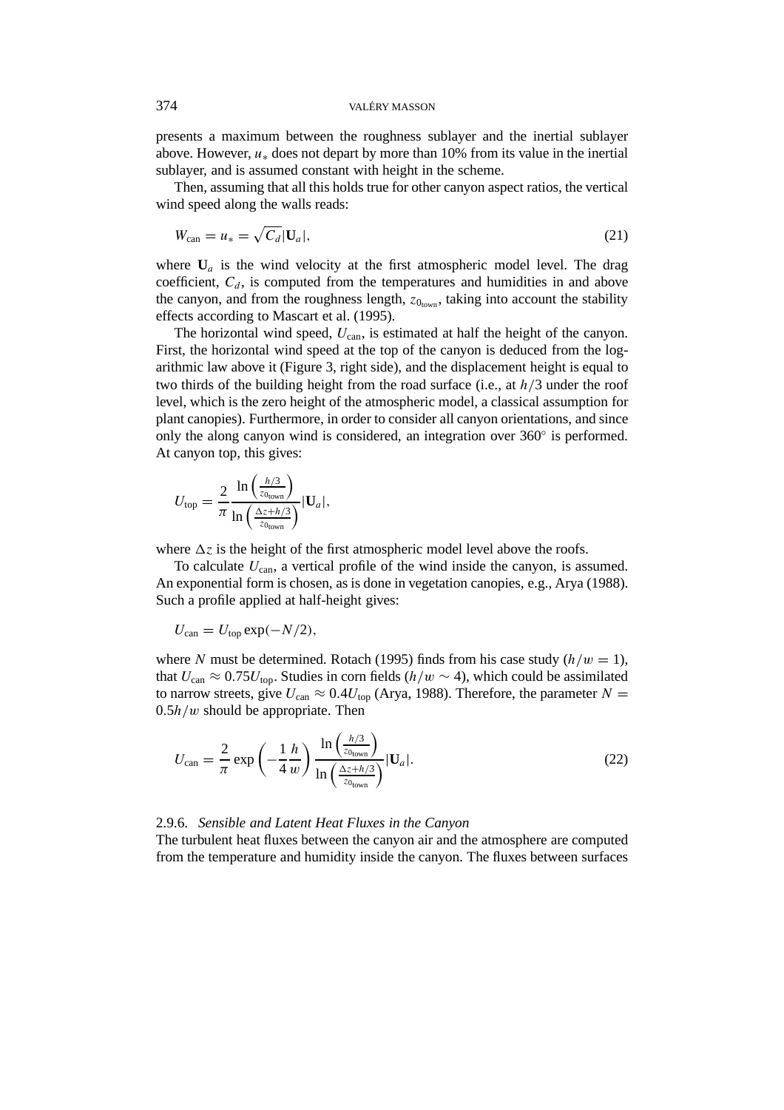presents a maximum between the roughness sublayer and the inertial sublayer above. However,  $u_*$  does not depart by more than 10% from its value in the inertial sublayer, and is assumed constant with height in the scheme.

Then, assuming that all this holds true for other canyon aspect ratios, the vertical wind speed along the walls reads:

$$
W_{\text{can}} = u_* = \sqrt{C_d} |\mathbf{U}_d|,\tag{21}
$$

where  $U_a$  is the wind velocity at the first atmospheric model level. The drag coefficient,  $C_d$ , is computed from the temperatures and humidities in and above the canyon, and from the roughness length,  $z_{0_{\text{town}}}$ , taking into account the stability effects according to Mascart et al. (1995).

The horizontal wind speed,  $U_{\text{can}}$ , is estimated at half the height of the canyon. First, the horizontal wind speed at the top of the canyon is deduced from the logarithmic law above it (Figure 3, right side), and the displacement height is equal to two thirds of the building height from the road surface (i.e., at *h/*3 under the roof level, which is the zero height of the atmospheric model, a classical assumption for plant canopies). Furthermore, in order to consider all canyon orientations, and since only the along canyon wind is considered, an integration over 360◦ is performed. At canyon top, this gives:

$$
U_{\text{top}} = \frac{2}{\pi} \frac{\ln\left(\frac{h/3}{z_{0_{\text{town}}}}\right)}{\ln\left(\frac{\Delta z + h/3}{z_{0_{\text{town}}}}\right)} |\mathbf{U}_a|,
$$

where  $\Delta z$  is the height of the first atmospheric model level above the roofs.

To calculate  $U_{\text{can}}$ , a vertical profile of the wind inside the canyon, is assumed. An exponential form is chosen, as is done in vegetation canopies, e.g., Arya (1988). Such a profile applied at half-height gives:

$$
U_{\text{can}} = U_{\text{top}} \exp(-N/2),
$$

where *N* must be determined. Rotach (1995) finds from his case study  $(h/w = 1)$ , that  $U_{\text{can}} \approx 0.75 U_{\text{top}}$ . Studies in corn fields ( $h/w \sim 4$ ), which could be assimilated to narrow streets, give  $U_{\text{can}} \approx 0.4 U_{\text{top}}$  (Arya, 1988). Therefore, the parameter  $N =$  $0.5h/w$  should be appropriate. Then

$$
U_{\text{can}} = \frac{2}{\pi} \exp\left(-\frac{1}{4} \frac{h}{w}\right) \frac{\ln\left(\frac{h/3}{z_{0_{\text{town}}}}\right)}{\ln\left(\frac{\Delta z + h/3}{z_{0_{\text{town}}}}\right)} |\mathbf{U}_a|. \tag{22}
$$

#### 2.9.6. *Sensible and Latent Heat Fluxes in the Canyon*

The turbulent heat fluxes between the canyon air and the atmosphere are computed from the temperature and humidity inside the canyon. The fluxes between surfaces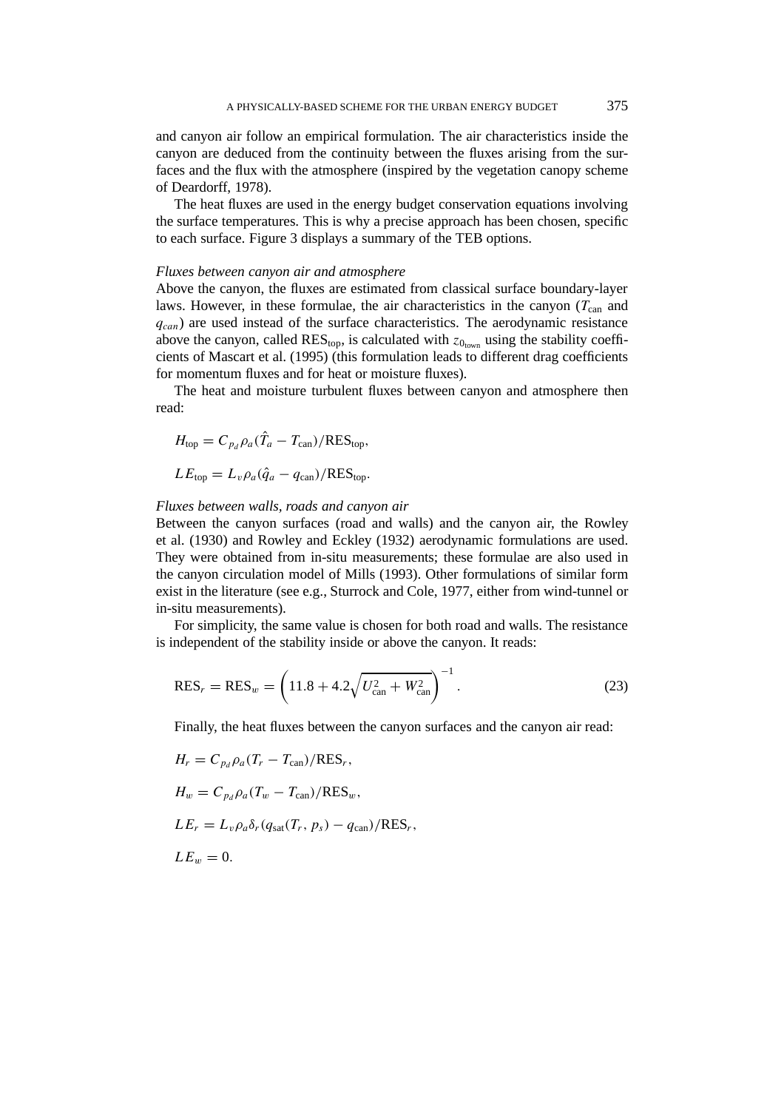and canyon air follow an empirical formulation. The air characteristics inside the canyon are deduced from the continuity between the fluxes arising from the surfaces and the flux with the atmosphere (inspired by the vegetation canopy scheme of Deardorff, 1978).

The heat fluxes are used in the energy budget conservation equations involving the surface temperatures. This is why a precise approach has been chosen, specific to each surface. Figure 3 displays a summary of the TEB options.

## *Fluxes between canyon air and atmosphere*

Above the canyon, the fluxes are estimated from classical surface boundary-layer laws. However, in these formulae, the air characteristics in the canyon  $(T_{\text{can}})$  and *qcan*) are used instead of the surface characteristics. The aerodynamic resistance above the canyon, called  $RES_{top}$ , is calculated with  $z_{0_{row}}$  using the stability coefficients of Mascart et al. (1995) (this formulation leads to different drag coefficients for momentum fluxes and for heat or moisture fluxes).

The heat and moisture turbulent fluxes between canyon and atmosphere then read:

$$
H_{\text{top}} = C_{p_d} \rho_a (\hat{T}_a - T_{\text{can}}) / \text{RES}_{\text{top}},
$$
  

$$
LE_{\text{top}} = L_v \rho_a (\hat{q}_a - q_{\text{can}}) / \text{RES}_{\text{top}}.
$$

#### *Fluxes between walls, roads and canyon air*

Between the canyon surfaces (road and walls) and the canyon air, the Rowley et al. (1930) and Rowley and Eckley (1932) aerodynamic formulations are used. They were obtained from in-situ measurements; these formulae are also used in the canyon circulation model of Mills (1993). Other formulations of similar form exist in the literature (see e.g., Sturrock and Cole, 1977, either from wind-tunnel or in-situ measurements).

For simplicity, the same value is chosen for both road and walls. The resistance is independent of the stability inside or above the canyon. It reads:

$$
RES_r = RES_w = \left(11.8 + 4.2\sqrt{U_{\text{can}}^2 + W_{\text{can}}^2}\right)^{-1}.
$$
 (23)

Finally, the heat fluxes between the canyon surfaces and the canyon air read:

$$
H_r = C_{p_d} \rho_a (T_r - T_{\text{can}}) / \text{RES}_r,
$$
  
\n
$$
H_w = C_{p_d} \rho_a (T_w - T_{\text{can}}) / \text{RES}_w,
$$
  
\n
$$
LE_r = L_v \rho_a \delta_r (q_{\text{sat}}(T_r, p_s) - q_{\text{can}}) / \text{RES}_r,
$$
  
\n
$$
LE_w = 0.
$$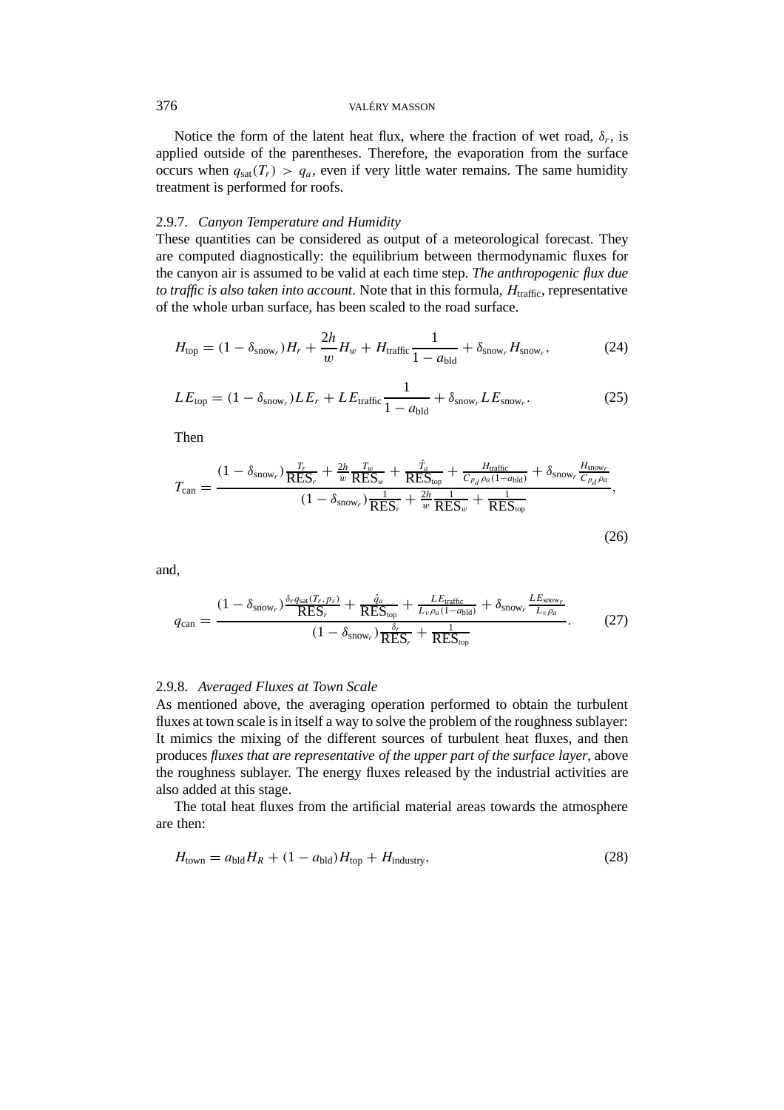Notice the form of the latent heat flux, where the fraction of wet road,  $\delta_r$ , is applied outside of the parentheses. Therefore, the evaporation from the surface occurs when  $q_{\text{sat}}(T_r) > q_a$ , even if very little water remains. The same humidity treatment is performed for roofs.

## 2.9.7. *Canyon Temperature and Humidity*

These quantities can be considered as output of a meteorological forecast. They are computed diagnostically: the equilibrium between thermodynamic fluxes for the canyon air is assumed to be valid at each time step. *The anthropogenic flux due to traffic is also taken into account*. Note that in this formula,  $H_{\text{traffic}}$ , representative of the whole urban surface, has been scaled to the road surface.

$$
H_{\text{top}} = (1 - \delta_{\text{snow}_r})H_r + \frac{2h}{w}H_w + H_{\text{traffic}}\frac{1}{1 - a_{\text{bld}}} + \delta_{\text{snow}_r}H_{\text{snow}_r},\tag{24}
$$

$$
LE_{\text{top}} = (1 - \delta_{\text{snow}_r})LE_r + LE_{\text{traffic}} \frac{1}{1 - a_{\text{bld}}} + \delta_{\text{snow}_r} LE_{\text{snow}_r}.
$$
 (25)

Then

$$
T_{\text{can}} = \frac{(1 - \delta_{\text{snow}_r}) \frac{T_r}{\text{RES}_r} + \frac{2h}{w} \frac{T_w}{\text{RES}_w} + \frac{\hat{T}_a}{\text{RES}_{\text{top}}} + \frac{H_{\text{traffic}}}{C_{p_d} \rho_a (1 - \rho_{\text{bld}})} + \delta_{\text{snow}_r} \frac{H_{\text{snow}_r}}{C_{p_d} \rho_a}}{(1 - \delta_{\text{snow}_r}) \frac{1}{\text{RES}_r} + \frac{2h}{w} \frac{1}{\text{RES}_w} + \frac{1}{\text{RES}_{\text{top}}}}.
$$
\n(26)

and,

$$
q_{\text{can}} = \frac{(1 - \delta_{\text{snow}_r}) \frac{\delta_r q_{\text{sat}}(T_r, p_s)}{\text{RES}_r} + \frac{\hat{q}_a}{\text{RES}_{\text{top}}} + \frac{LE_{\text{traffic}}}{L_v \rho_a (1 - a_{\text{bdd}})} + \delta_{\text{snow}_r} \frac{LE_{\text{snow}_r}}{L_v \rho_a}}{(1 - \delta_{\text{snow}_r}) \frac{\delta_r}{\text{RES}_r} + \frac{1}{\text{RES}_{\text{top}}}}.
$$
(27)

### 2.9.8. *Averaged Fluxes at Town Scale*

As mentioned above, the averaging operation performed to obtain the turbulent fluxes at town scale is in itself a way to solve the problem of the roughness sublayer: It mimics the mixing of the different sources of turbulent heat fluxes, and then produces *fluxes that are representative of the upper part of the surface layer*, above the roughness sublayer. The energy fluxes released by the industrial activities are also added at this stage.

The total heat fluxes from the artificial material areas towards the atmosphere are then:

$$
H_{\text{town}} = a_{\text{bld}} H_R + (1 - a_{\text{bld}}) H_{\text{top}} + H_{\text{industry}},\tag{28}
$$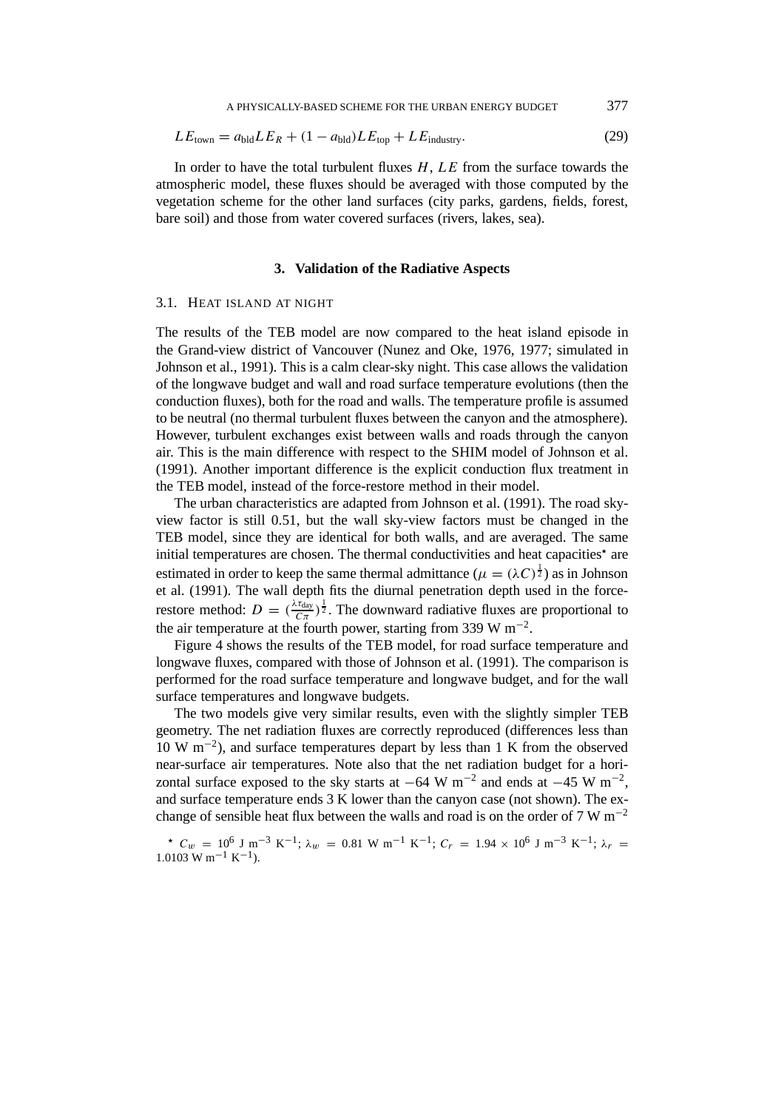A PHYSICALLY-BASED SCHEME FOR THE URBAN ENERGY BUDGET 377

$$
LEtown = abidLER + (1 - abid)LEtop + LEindustry.
$$
\n(29)

In order to have the total turbulent fluxes *H*, *LE* from the surface towards the atmospheric model, these fluxes should be averaged with those computed by the vegetation scheme for the other land surfaces (city parks, gardens, fields, forest, bare soil) and those from water covered surfaces (rivers, lakes, sea).

## **3. Validation of the Radiative Aspects**

#### 3.1. HEAT ISLAND AT NIGHT

The results of the TEB model are now compared to the heat island episode in the Grand-view district of Vancouver (Nunez and Oke, 1976, 1977; simulated in Johnson et al., 1991). This is a calm clear-sky night. This case allows the validation of the longwave budget and wall and road surface temperature evolutions (then the conduction fluxes), both for the road and walls. The temperature profile is assumed to be neutral (no thermal turbulent fluxes between the canyon and the atmosphere). However, turbulent exchanges exist between walls and roads through the canyon air. This is the main difference with respect to the SHIM model of Johnson et al. (1991). Another important difference is the explicit conduction flux treatment in the TEB model, instead of the force-restore method in their model.

The urban characteristics are adapted from Johnson et al. (1991). The road skyview factor is still 0.51, but the wall sky-view factors must be changed in the TEB model, since they are identical for both walls, and are averaged. The same initial temperatures are chosen. The thermal conductivities and heat capacities*?* are estimated in order to keep the same thermal admittance  $(\mu = (\lambda C)^{\frac{1}{2}})$  as in Johnson et al. (1991). The wall depth fits the diurnal penetration depth used in the forcerestore method:  $D = (\frac{\lambda \tau_{\text{day}}}{C\pi})^{\frac{1}{2}}$ . The downward radiative fluxes are proportional to the air temperature at the fourth power, starting from 339 W m<sup>-2</sup>.

Figure 4 shows the results of the TEB model, for road surface temperature and longwave fluxes, compared with those of Johnson et al. (1991). The comparison is performed for the road surface temperature and longwave budget, and for the wall surface temperatures and longwave budgets.

The two models give very similar results, even with the slightly simpler TEB geometry. The net radiation fluxes are correctly reproduced (differences less than 10 W m<sup>−</sup>2), and surface temperatures depart by less than 1 K from the observed near-surface air temperatures. Note also that the net radiation budget for a horizontal surface exposed to the sky starts at  $-64 \text{ W m}^{-2}$  and ends at  $-45 \text{ W m}^{-2}$ , and surface temperature ends 3 K lower than the canyon case (not shown). The exchange of sensible heat flux between the walls and road is on the order of 7 W  $\text{m}^{-2}$ 

<sup>\*</sup>  $C_w$  = 10<sup>6</sup> J m<sup>-3</sup> K<sup>-1</sup>;  $\lambda_w$  = 0.81 W m<sup>-1</sup> K<sup>-1</sup>;  $C_r$  = 1.94 × 10<sup>6</sup> J m<sup>-3</sup> K<sup>-1</sup>;  $\lambda_r$  =  $1.0103 \text{ W m}^{-1} \text{ K}^{-1}$ ).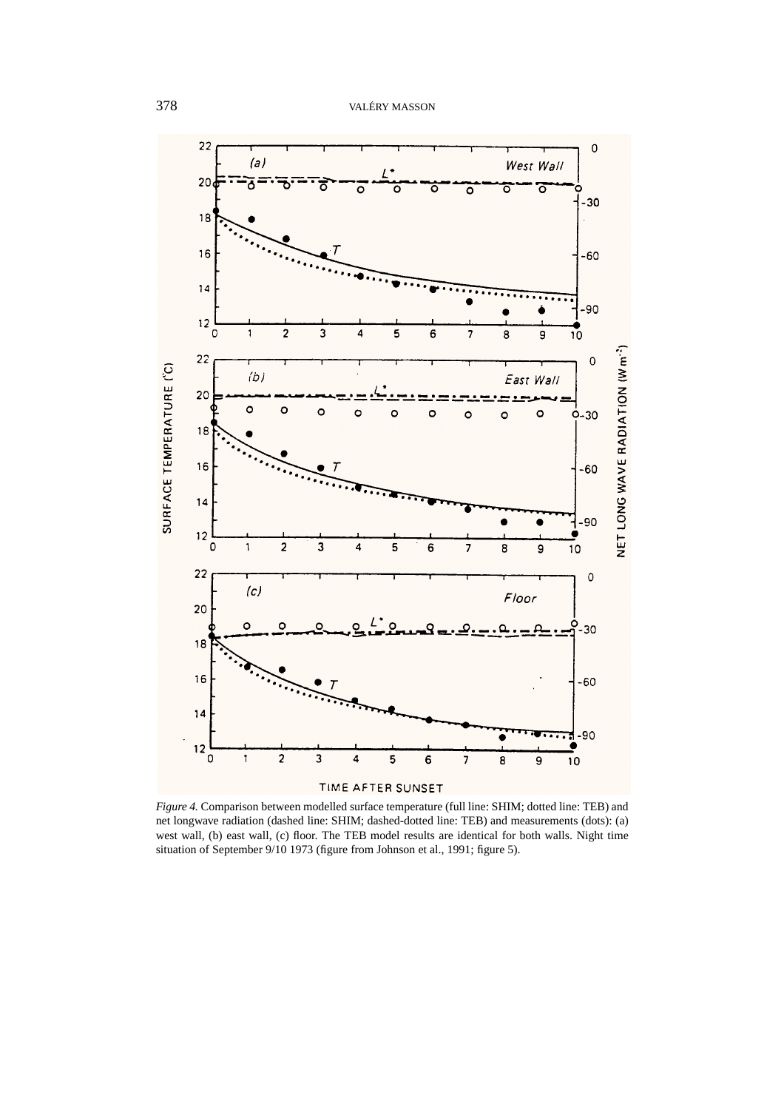

*Figure 4.* Comparison between modelled surface temperature (full line: SHIM; dotted line: TEB) and net longwave radiation (dashed line: SHIM; dashed-dotted line: TEB) and measurements (dots): (a) west wall, (b) east wall, (c) floor. The TEB model results are identical for both walls. Night time situation of September 9/10 1973 (figure from Johnson et al., 1991; figure 5).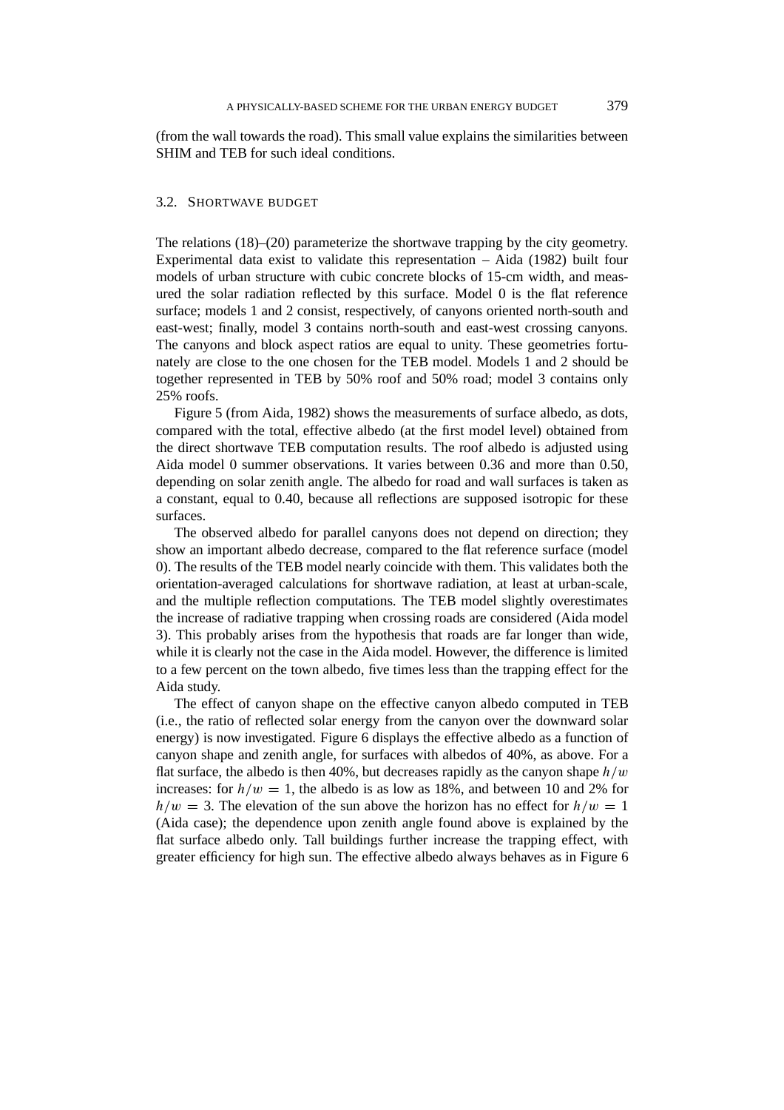(from the wall towards the road). This small value explains the similarities between SHIM and TEB for such ideal conditions.

## 3.2. SHORTWAVE BUDGET

The relations (18)–(20) parameterize the shortwave trapping by the city geometry. Experimental data exist to validate this representation – Aida (1982) built four models of urban structure with cubic concrete blocks of 15-cm width, and measured the solar radiation reflected by this surface. Model 0 is the flat reference surface; models 1 and 2 consist, respectively, of canyons oriented north-south and east-west; finally, model 3 contains north-south and east-west crossing canyons. The canyons and block aspect ratios are equal to unity. These geometries fortunately are close to the one chosen for the TEB model. Models 1 and 2 should be together represented in TEB by 50% roof and 50% road; model 3 contains only 25% roofs.

Figure 5 (from Aida, 1982) shows the measurements of surface albedo, as dots, compared with the total, effective albedo (at the first model level) obtained from the direct shortwave TEB computation results. The roof albedo is adjusted using Aida model 0 summer observations. It varies between 0.36 and more than 0.50, depending on solar zenith angle. The albedo for road and wall surfaces is taken as a constant, equal to 0.40, because all reflections are supposed isotropic for these surfaces.

The observed albedo for parallel canyons does not depend on direction; they show an important albedo decrease, compared to the flat reference surface (model 0). The results of the TEB model nearly coincide with them. This validates both the orientation-averaged calculations for shortwave radiation, at least at urban-scale, and the multiple reflection computations. The TEB model slightly overestimates the increase of radiative trapping when crossing roads are considered (Aida model 3). This probably arises from the hypothesis that roads are far longer than wide, while it is clearly not the case in the Aida model. However, the difference is limited to a few percent on the town albedo, five times less than the trapping effect for the Aida study.

The effect of canyon shape on the effective canyon albedo computed in TEB (i.e., the ratio of reflected solar energy from the canyon over the downward solar energy) is now investigated. Figure 6 displays the effective albedo as a function of canyon shape and zenith angle, for surfaces with albedos of 40%, as above. For a flat surface, the albedo is then 40%, but decreases rapidly as the canyon shape *h/w* increases: for  $h/w = 1$ , the albedo is as low as 18%, and between 10 and 2% for  $h/w = 3$ . The elevation of the sun above the horizon has no effect for  $h/w = 1$ (Aida case); the dependence upon zenith angle found above is explained by the flat surface albedo only. Tall buildings further increase the trapping effect, with greater efficiency for high sun. The effective albedo always behaves as in Figure 6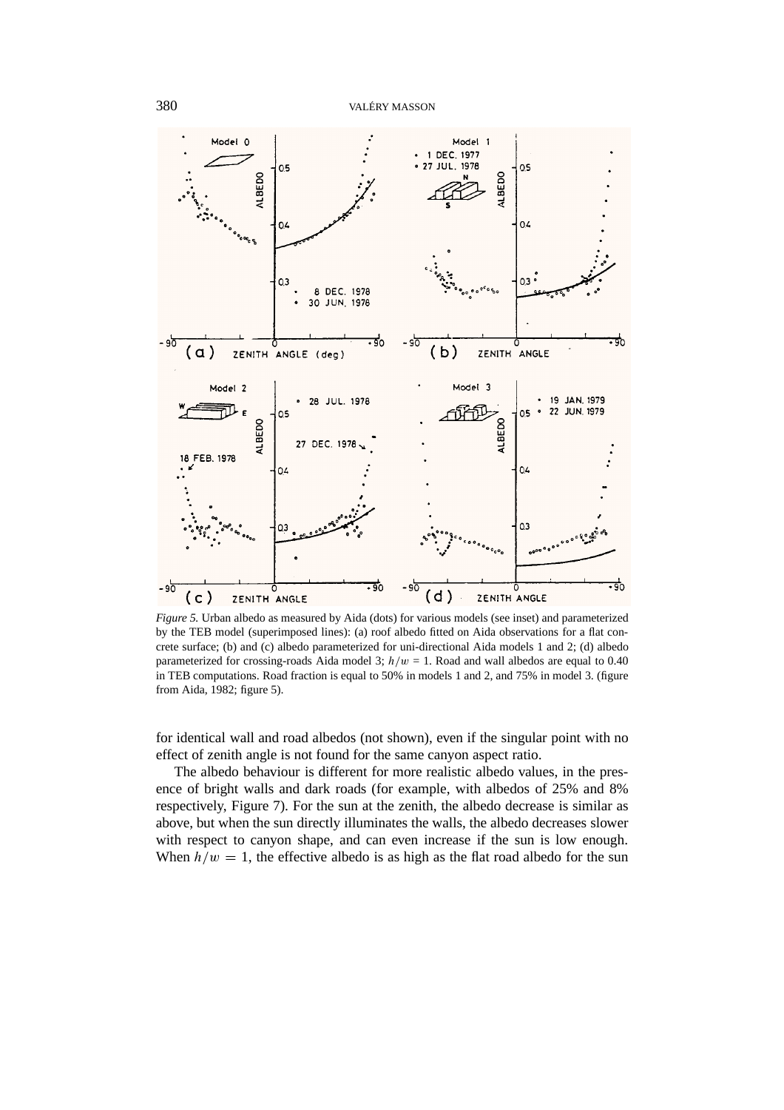

*Figure 5.* Urban albedo as measured by Aida (dots) for various models (see inset) and parameterized by the TEB model (superimposed lines): (a) roof albedo fitted on Aida observations for a flat concrete surface; (b) and (c) albedo parameterized for uni-directional Aida models 1 and 2; (d) albedo parameterized for crossing-roads Aida model 3;  $h/w = 1$ . Road and wall albedos are equal to 0.40 in TEB computations. Road fraction is equal to 50% in models 1 and 2, and 75% in model 3. (figure from Aida, 1982; figure 5).

for identical wall and road albedos (not shown), even if the singular point with no effect of zenith angle is not found for the same canyon aspect ratio.

The albedo behaviour is different for more realistic albedo values, in the presence of bright walls and dark roads (for example, with albedos of 25% and 8% respectively, Figure 7). For the sun at the zenith, the albedo decrease is similar as above, but when the sun directly illuminates the walls, the albedo decreases slower with respect to canyon shape, and can even increase if the sun is low enough. When  $h/w = 1$ , the effective albedo is as high as the flat road albedo for the sun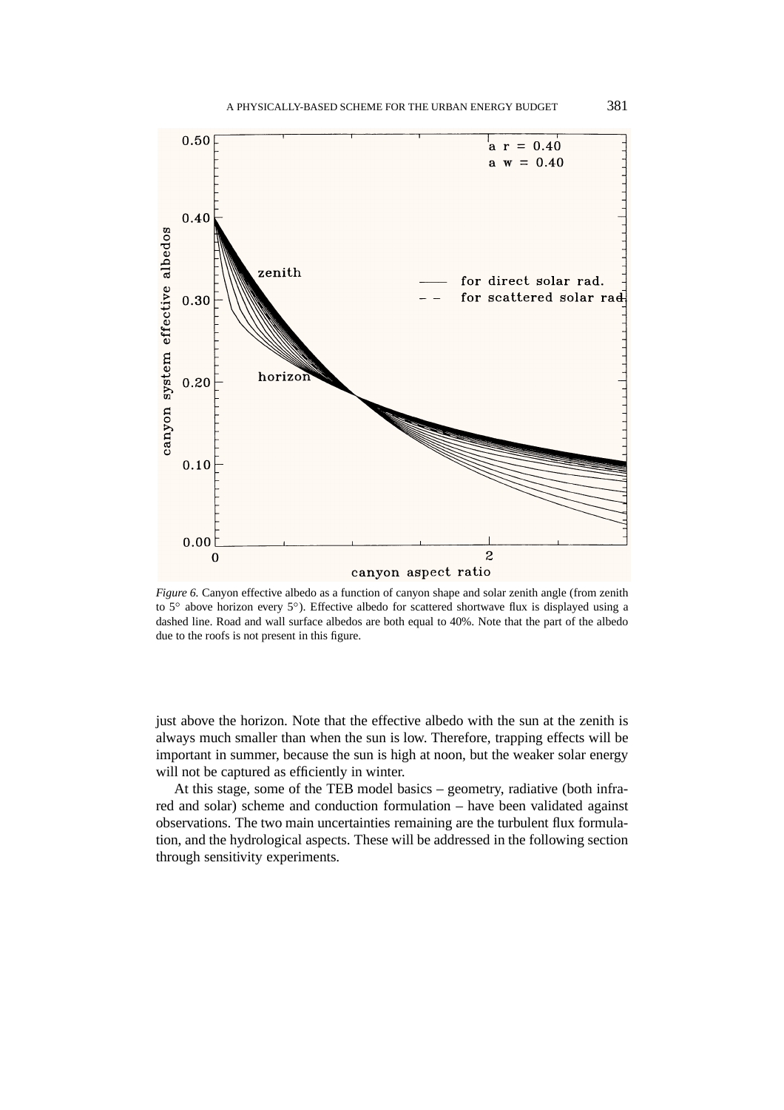

*Figure 6.* Canyon effective albedo as a function of canyon shape and solar zenith angle (from zenith to 5◦ above horizon every 5◦). Effective albedo for scattered shortwave flux is displayed using a dashed line. Road and wall surface albedos are both equal to 40%. Note that the part of the albedo due to the roofs is not present in this figure.

just above the horizon. Note that the effective albedo with the sun at the zenith is always much smaller than when the sun is low. Therefore, trapping effects will be important in summer, because the sun is high at noon, but the weaker solar energy will not be captured as efficiently in winter.

At this stage, some of the TEB model basics – geometry, radiative (both infrared and solar) scheme and conduction formulation – have been validated against observations. The two main uncertainties remaining are the turbulent flux formulation, and the hydrological aspects. These will be addressed in the following section through sensitivity experiments.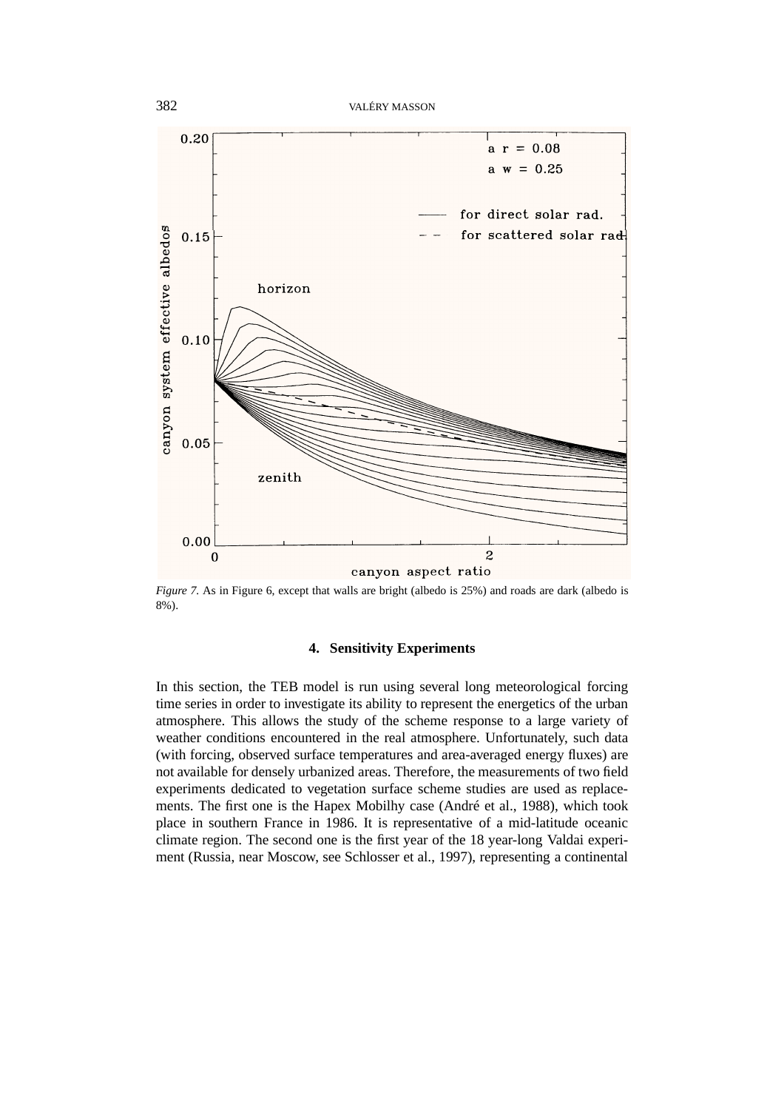

*Figure 7.* As in Figure 6, except that walls are bright (albedo is 25%) and roads are dark (albedo is 8%).

# **4. Sensitivity Experiments**

In this section, the TEB model is run using several long meteorological forcing time series in order to investigate its ability to represent the energetics of the urban atmosphere. This allows the study of the scheme response to a large variety of weather conditions encountered in the real atmosphere. Unfortunately, such data (with forcing, observed surface temperatures and area-averaged energy fluxes) are not available for densely urbanized areas. Therefore, the measurements of two field experiments dedicated to vegetation surface scheme studies are used as replacements. The first one is the Hapex Mobilhy case (André et al., 1988), which took place in southern France in 1986. It is representative of a mid-latitude oceanic climate region. The second one is the first year of the 18 year-long Valdai experiment (Russia, near Moscow, see Schlosser et al., 1997), representing a continental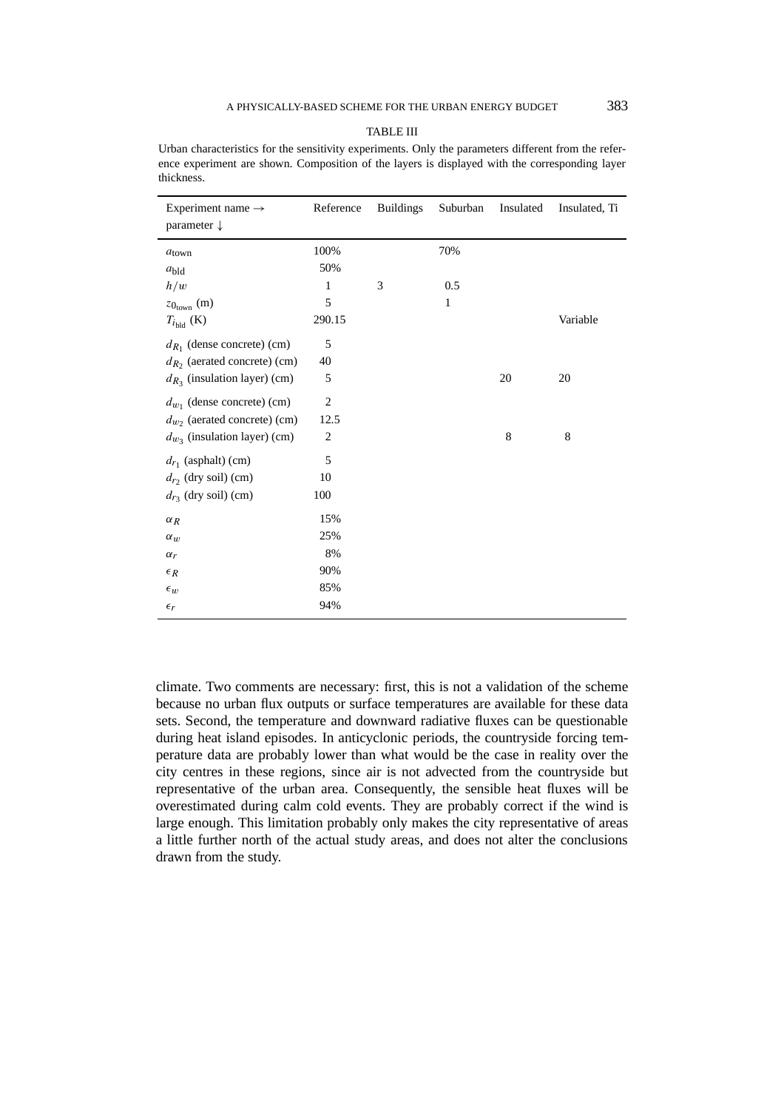| ٧<br>٠<br>×<br>v<br>٧ |
|-----------------------|
|                       |

Urban characteristics for the sensitivity experiments. Only the parameters different from the reference experiment are shown. Composition of the layers is displayed with the corresponding layer thickness.

| Experiment name $\rightarrow$<br>parameter $\downarrow$ | Reference      | <b>Buildings</b> | Suburban     | Insulated | Insulated, Ti |
|---------------------------------------------------------|----------------|------------------|--------------|-----------|---------------|
|                                                         |                |                  |              |           |               |
| $a$ <sub>town</sub>                                     | 100%           |                  | 70%          |           |               |
| a <sub>bld</sub>                                        | 50%            |                  |              |           |               |
| h/w                                                     | 1              | 3                | 0.5          |           |               |
| $z_{0_{\text{town}}}$ (m)                               | 5              |                  | $\mathbf{1}$ |           |               |
| $T_{i_{\text{bld}}}$ (K)                                | 290.15         |                  |              |           | Variable      |
| $d_{R_1}$ (dense concrete) (cm)                         | 5              |                  |              |           |               |
| $d_{R_2}$ (aerated concrete) (cm)                       | 40             |                  |              |           |               |
| $d_{R_3}$ (insulation layer) (cm)                       | 5              |                  |              | 20        | 20            |
| $d_{w_1}$ (dense concrete) (cm)                         | $\overline{2}$ |                  |              |           |               |
| $d_{w_2}$ (aerated concrete) (cm)                       | 12.5           |                  |              |           |               |
| $d_{w_3}$ (insulation layer) (cm)                       | $\overline{c}$ |                  |              | 8         | 8             |
| $d_{r_1}$ (asphalt) (cm)                                | 5              |                  |              |           |               |
| $d_{r_2}$ (dry soil) (cm)                               | 10             |                  |              |           |               |
| $d_{r_3}$ (dry soil) (cm)                               | 100            |                  |              |           |               |
| $\alpha_R$                                              | 15%            |                  |              |           |               |
| $\alpha_w$                                              | 25%            |                  |              |           |               |
| $\alpha_r$                                              | 8%             |                  |              |           |               |
| $\epsilon_R$                                            | 90%            |                  |              |           |               |
| $\epsilon_w$                                            | 85%            |                  |              |           |               |
| $\epsilon_r$                                            | 94%            |                  |              |           |               |

climate. Two comments are necessary: first, this is not a validation of the scheme because no urban flux outputs or surface temperatures are available for these data sets. Second, the temperature and downward radiative fluxes can be questionable during heat island episodes. In anticyclonic periods, the countryside forcing temperature data are probably lower than what would be the case in reality over the city centres in these regions, since air is not advected from the countryside but representative of the urban area. Consequently, the sensible heat fluxes will be overestimated during calm cold events. They are probably correct if the wind is large enough. This limitation probably only makes the city representative of areas a little further north of the actual study areas, and does not alter the conclusions drawn from the study.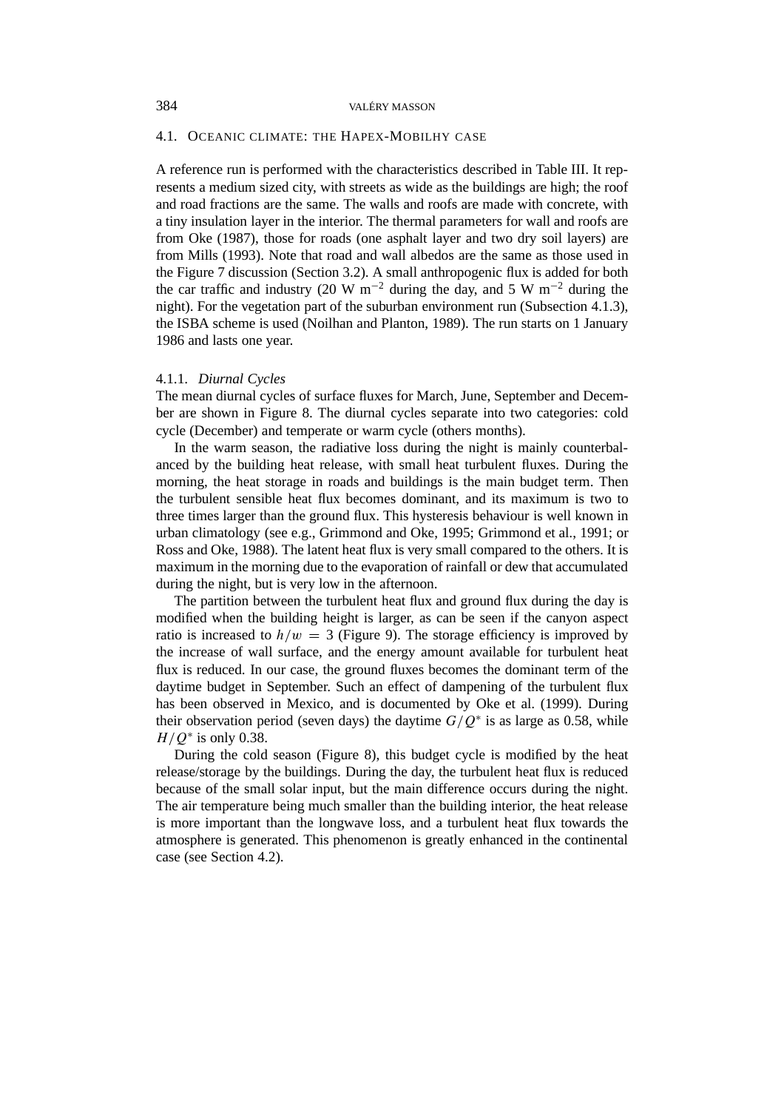## 4.1. OCEANIC CLIMATE: THE HAPEX-MOBILHY CASE

A reference run is performed with the characteristics described in Table III. It represents a medium sized city, with streets as wide as the buildings are high; the roof and road fractions are the same. The walls and roofs are made with concrete, with a tiny insulation layer in the interior. The thermal parameters for wall and roofs are from Oke (1987), those for roads (one asphalt layer and two dry soil layers) are from Mills (1993). Note that road and wall albedos are the same as those used in the Figure 7 discussion (Section 3.2). A small anthropogenic flux is added for both the car traffic and industry (20 W m<sup>-2</sup> during the day, and 5 W m<sup>-2</sup> during the night). For the vegetation part of the suburban environment run (Subsection 4.1.3), the ISBA scheme is used (Noilhan and Planton, 1989). The run starts on 1 January 1986 and lasts one year.

#### 4.1.1. *Diurnal Cycles*

The mean diurnal cycles of surface fluxes for March, June, September and December are shown in Figure 8. The diurnal cycles separate into two categories: cold cycle (December) and temperate or warm cycle (others months).

In the warm season, the radiative loss during the night is mainly counterbalanced by the building heat release, with small heat turbulent fluxes. During the morning, the heat storage in roads and buildings is the main budget term. Then the turbulent sensible heat flux becomes dominant, and its maximum is two to three times larger than the ground flux. This hysteresis behaviour is well known in urban climatology (see e.g., Grimmond and Oke, 1995; Grimmond et al., 1991; or Ross and Oke, 1988). The latent heat flux is very small compared to the others. It is maximum in the morning due to the evaporation of rainfall or dew that accumulated during the night, but is very low in the afternoon.

The partition between the turbulent heat flux and ground flux during the day is modified when the building height is larger, as can be seen if the canyon aspect ratio is increased to  $h/w = 3$  (Figure 9). The storage efficiency is improved by the increase of wall surface, and the energy amount available for turbulent heat flux is reduced. In our case, the ground fluxes becomes the dominant term of the daytime budget in September. Such an effect of dampening of the turbulent flux has been observed in Mexico, and is documented by Oke et al. (1999). During their observation period (seven days) the daytime  $G/Q^*$  is as large as 0.58, while *H/Q*<sup>∗</sup> is only 0.38.

During the cold season (Figure 8), this budget cycle is modified by the heat release/storage by the buildings. During the day, the turbulent heat flux is reduced because of the small solar input, but the main difference occurs during the night. The air temperature being much smaller than the building interior, the heat release is more important than the longwave loss, and a turbulent heat flux towards the atmosphere is generated. This phenomenon is greatly enhanced in the continental case (see Section 4.2).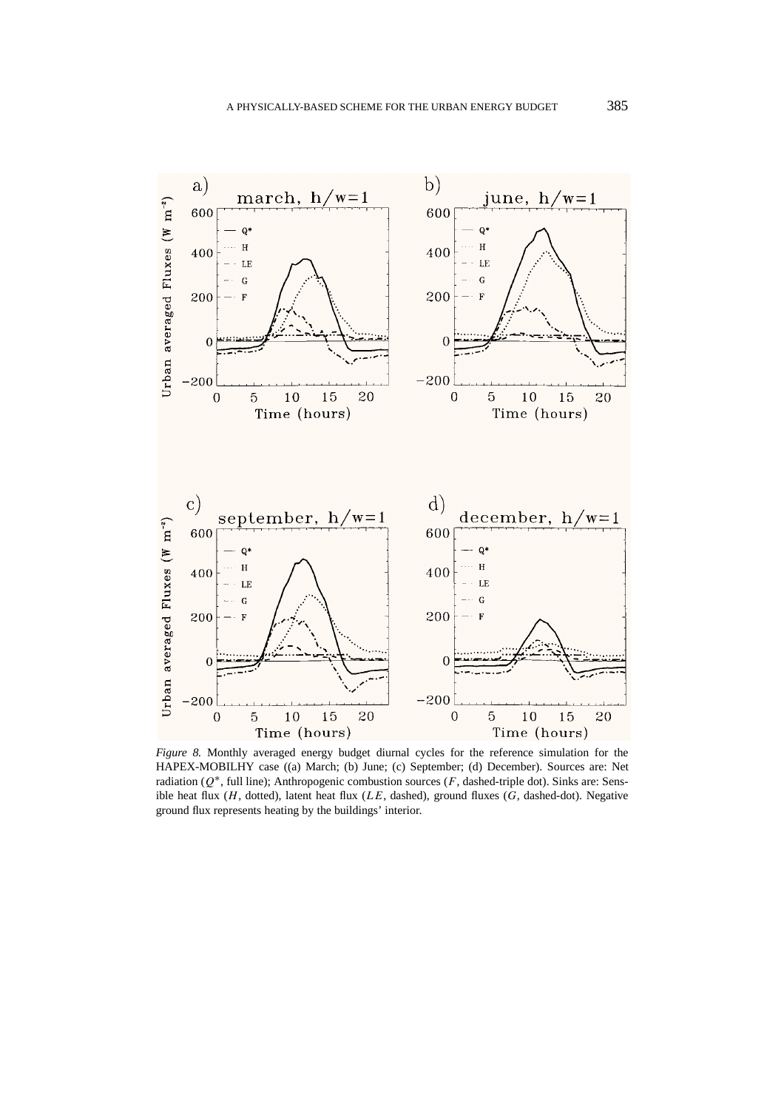

*Figure 8.* Monthly averaged energy budget diurnal cycles for the reference simulation for the HAPEX-MOBILHY case ((a) March; (b) June; (c) September; (d) December). Sources are: Net radiation (*Q*∗, full line); Anthropogenic combustion sources (*F*, dashed-triple dot). Sinks are: Sensible heat flux (*H*, dotted), latent heat flux (*LE*, dashed), ground fluxes (*G*, dashed-dot). Negative ground flux represents heating by the buildings' interior.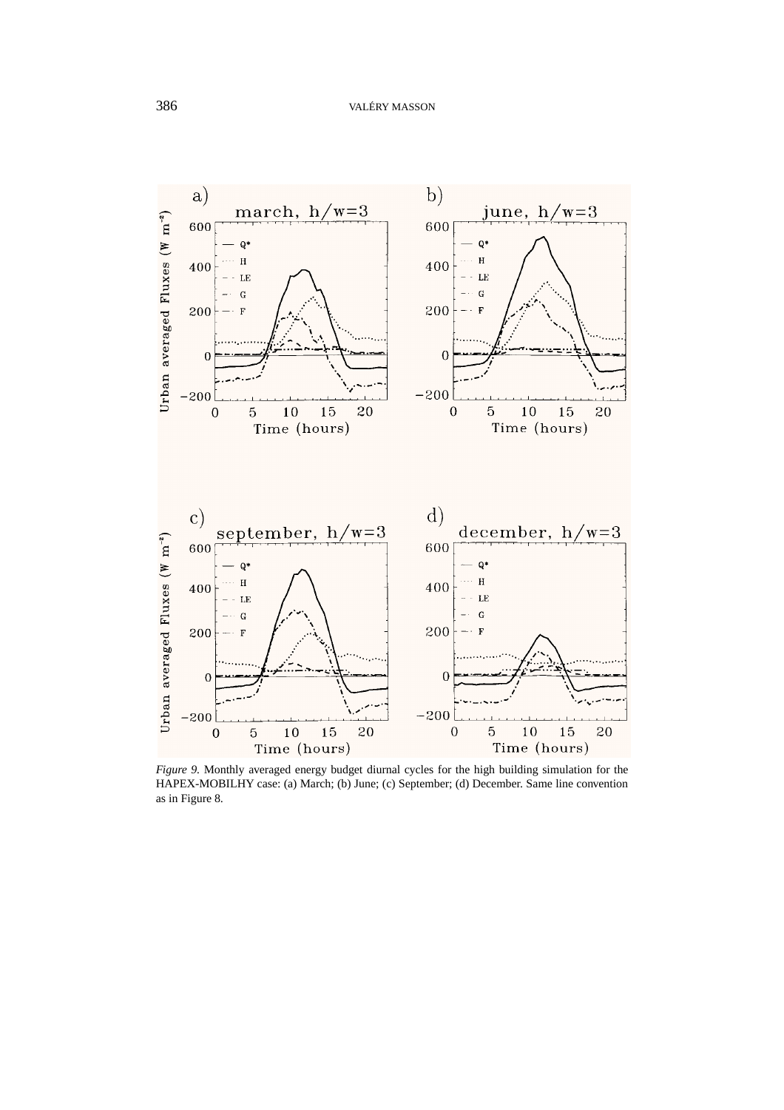

*Figure 9.* Monthly averaged energy budget diurnal cycles for the high building simulation for the HAPEX-MOBILHY case: (a) March; (b) June; (c) September; (d) December. Same line convention as in Figure 8.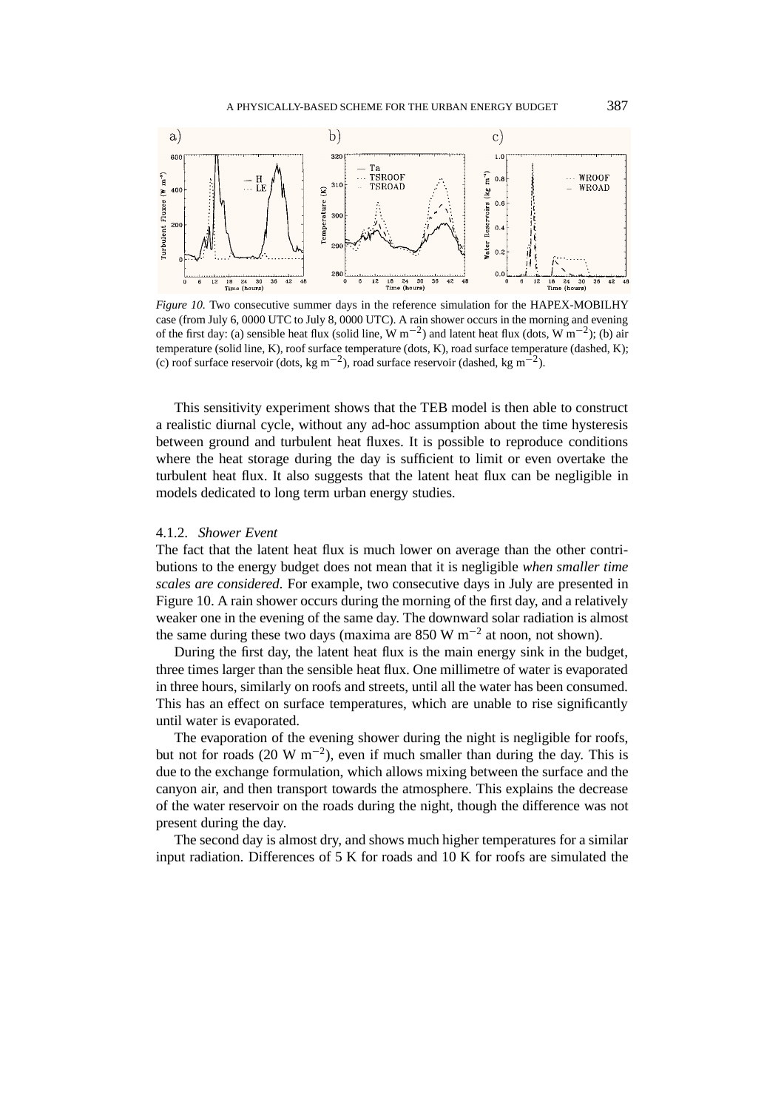

*Figure 10.* Two consecutive summer days in the reference simulation for the HAPEX-MOBILHY case (from July 6, 0000 UTC to July 8, 0000 UTC). A rain shower occurs in the morning and evening of the first day: (a) sensible heat flux (solid line, W m<sup>−</sup>2) and latent heat flux (dots, W m<sup>−</sup>2); (b) air temperature (solid line, K), roof surface temperature (dots, K), road surface temperature (dashed, K); (c) roof surface reservoir (dots, kg m<sup>-2</sup>), road surface reservoir (dashed, kg m<sup>-2</sup>).

This sensitivity experiment shows that the TEB model is then able to construct a realistic diurnal cycle, without any ad-hoc assumption about the time hysteresis between ground and turbulent heat fluxes. It is possible to reproduce conditions where the heat storage during the day is sufficient to limit or even overtake the turbulent heat flux. It also suggests that the latent heat flux can be negligible in models dedicated to long term urban energy studies.

### 4.1.2. *Shower Event*

The fact that the latent heat flux is much lower on average than the other contributions to the energy budget does not mean that it is negligible *when smaller time scales are considered*. For example, two consecutive days in July are presented in Figure 10. A rain shower occurs during the morning of the first day, and a relatively weaker one in the evening of the same day. The downward solar radiation is almost the same during these two days (maxima are 850 W m<sup>−</sup><sup>2</sup> at noon, not shown).

During the first day, the latent heat flux is the main energy sink in the budget, three times larger than the sensible heat flux. One millimetre of water is evaporated in three hours, similarly on roofs and streets, until all the water has been consumed. This has an effect on surface temperatures, which are unable to rise significantly until water is evaporated.

The evaporation of the evening shower during the night is negligible for roofs, but not for roads (20 W m<sup>-2</sup>), even if much smaller than during the day. This is due to the exchange formulation, which allows mixing between the surface and the canyon air, and then transport towards the atmosphere. This explains the decrease of the water reservoir on the roads during the night, though the difference was not present during the day.

The second day is almost dry, and shows much higher temperatures for a similar input radiation. Differences of 5 K for roads and 10 K for roofs are simulated the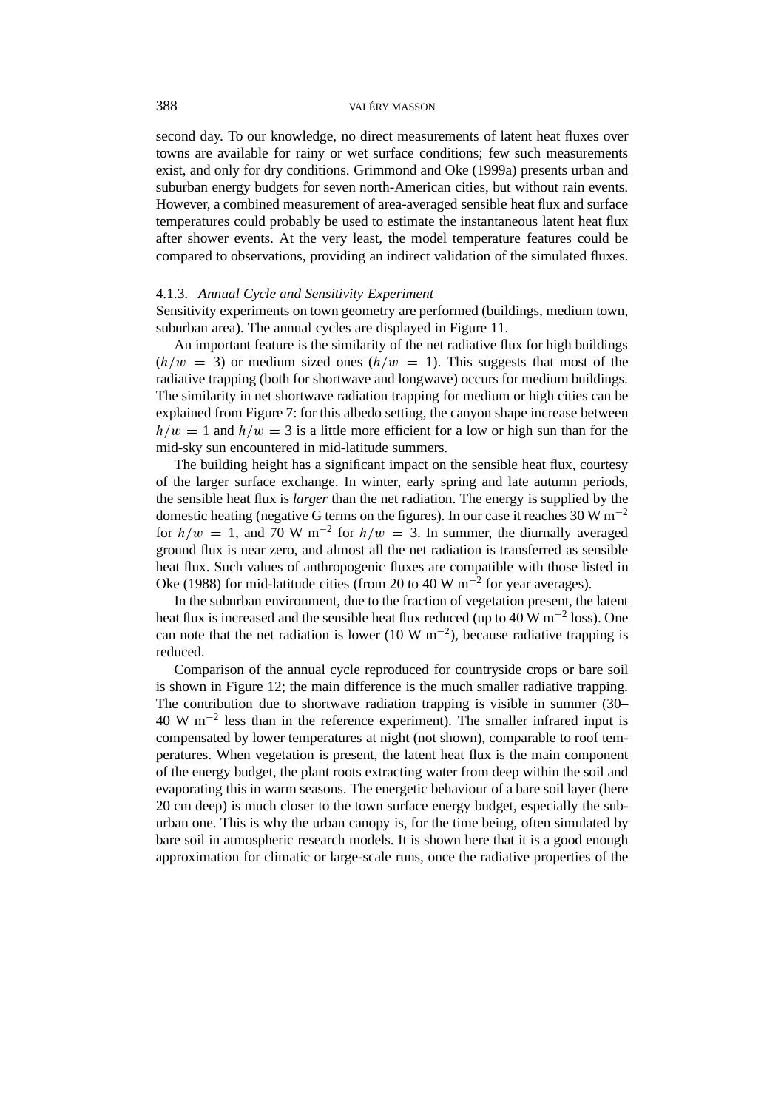second day. To our knowledge, no direct measurements of latent heat fluxes over towns are available for rainy or wet surface conditions; few such measurements exist, and only for dry conditions. Grimmond and Oke (1999a) presents urban and suburban energy budgets for seven north-American cities, but without rain events. However, a combined measurement of area-averaged sensible heat flux and surface temperatures could probably be used to estimate the instantaneous latent heat flux after shower events. At the very least, the model temperature features could be compared to observations, providing an indirect validation of the simulated fluxes.

### 4.1.3. *Annual Cycle and Sensitivity Experiment*

Sensitivity experiments on town geometry are performed (buildings, medium town, suburban area). The annual cycles are displayed in Figure 11.

An important feature is the similarity of the net radiative flux for high buildings  $(h/w = 3)$  or medium sized ones  $(h/w = 1)$ . This suggests that most of the radiative trapping (both for shortwave and longwave) occurs for medium buildings. The similarity in net shortwave radiation trapping for medium or high cities can be explained from Figure 7: for this albedo setting, the canyon shape increase between  $h/w = 1$  and  $h/w = 3$  is a little more efficient for a low or high sun than for the mid-sky sun encountered in mid-latitude summers.

The building height has a significant impact on the sensible heat flux, courtesy of the larger surface exchange. In winter, early spring and late autumn periods, the sensible heat flux is *larger* than the net radiation. The energy is supplied by the domestic heating (negative G terms on the figures). In our case it reaches 30 W  $\text{m}^{-2}$ for  $h/w = 1$ , and 70 W m<sup>-2</sup> for  $h/w = 3$ . In summer, the diurnally averaged ground flux is near zero, and almost all the net radiation is transferred as sensible heat flux. Such values of anthropogenic fluxes are compatible with those listed in Oke (1988) for mid-latitude cities (from 20 to 40 W  $\text{m}^{-2}$  for year averages).

In the suburban environment, due to the fraction of vegetation present, the latent heat flux is increased and the sensible heat flux reduced (up to 40 W m<sup>-2</sup> loss). One can note that the net radiation is lower (10 W  $m^{-2}$ ), because radiative trapping is reduced.

Comparison of the annual cycle reproduced for countryside crops or bare soil is shown in Figure 12; the main difference is the much smaller radiative trapping. The contribution due to shortwave radiation trapping is visible in summer (30–  $40 \text{ W m}^{-2}$  less than in the reference experiment). The smaller infrared input is compensated by lower temperatures at night (not shown), comparable to roof temperatures. When vegetation is present, the latent heat flux is the main component of the energy budget, the plant roots extracting water from deep within the soil and evaporating this in warm seasons. The energetic behaviour of a bare soil layer (here 20 cm deep) is much closer to the town surface energy budget, especially the suburban one. This is why the urban canopy is, for the time being, often simulated by bare soil in atmospheric research models. It is shown here that it is a good enough approximation for climatic or large-scale runs, once the radiative properties of the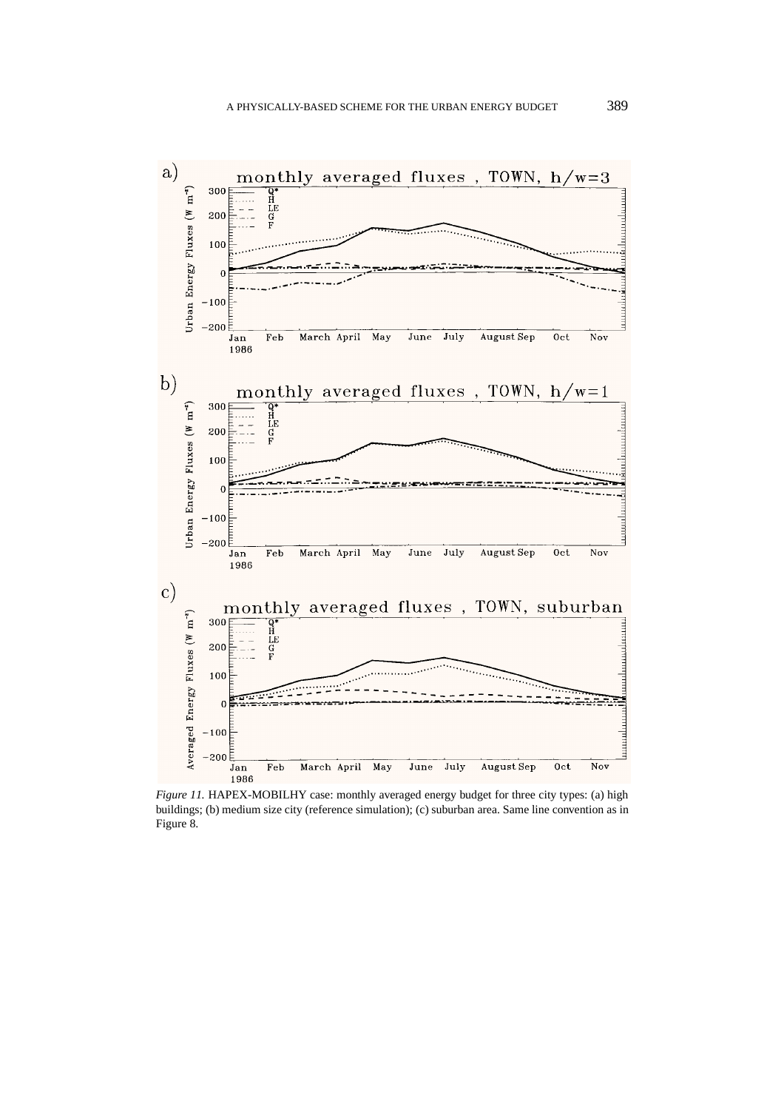

*Figure 11.* HAPEX-MOBILHY case: monthly averaged energy budget for three city types: (a) high buildings; (b) medium size city (reference simulation); (c) suburban area. Same line convention as in Figure 8.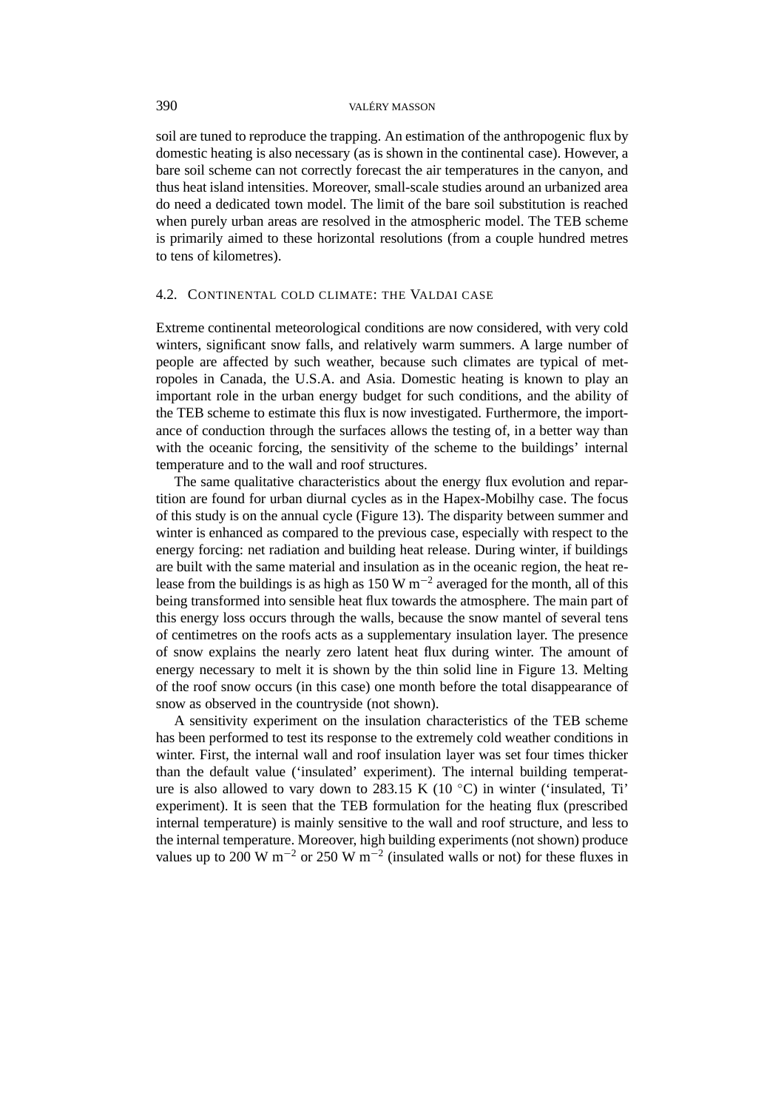soil are tuned to reproduce the trapping. An estimation of the anthropogenic flux by domestic heating is also necessary (as is shown in the continental case). However, a bare soil scheme can not correctly forecast the air temperatures in the canyon, and thus heat island intensities. Moreover, small-scale studies around an urbanized area do need a dedicated town model. The limit of the bare soil substitution is reached when purely urban areas are resolved in the atmospheric model. The TEB scheme is primarily aimed to these horizontal resolutions (from a couple hundred metres to tens of kilometres).

## 4.2. CONTINENTAL COLD CLIMATE: THE VALDAI CASE

Extreme continental meteorological conditions are now considered, with very cold winters, significant snow falls, and relatively warm summers. A large number of people are affected by such weather, because such climates are typical of metropoles in Canada, the U.S.A. and Asia. Domestic heating is known to play an important role in the urban energy budget for such conditions, and the ability of the TEB scheme to estimate this flux is now investigated. Furthermore, the importance of conduction through the surfaces allows the testing of, in a better way than with the oceanic forcing, the sensitivity of the scheme to the buildings' internal temperature and to the wall and roof structures.

The same qualitative characteristics about the energy flux evolution and repartition are found for urban diurnal cycles as in the Hapex-Mobilhy case. The focus of this study is on the annual cycle (Figure 13). The disparity between summer and winter is enhanced as compared to the previous case, especially with respect to the energy forcing: net radiation and building heat release. During winter, if buildings are built with the same material and insulation as in the oceanic region, the heat release from the buildings is as high as 150 W  $m^{-2}$  averaged for the month, all of this being transformed into sensible heat flux towards the atmosphere. The main part of this energy loss occurs through the walls, because the snow mantel of several tens of centimetres on the roofs acts as a supplementary insulation layer. The presence of snow explains the nearly zero latent heat flux during winter. The amount of energy necessary to melt it is shown by the thin solid line in Figure 13. Melting of the roof snow occurs (in this case) one month before the total disappearance of snow as observed in the countryside (not shown).

A sensitivity experiment on the insulation characteristics of the TEB scheme has been performed to test its response to the extremely cold weather conditions in winter. First, the internal wall and roof insulation layer was set four times thicker than the default value ('insulated' experiment). The internal building temperature is also allowed to vary down to 283.15 K (10 ◦C) in winter ('insulated, Ti' experiment). It is seen that the TEB formulation for the heating flux (prescribed internal temperature) is mainly sensitive to the wall and roof structure, and less to the internal temperature. Moreover, high building experiments (not shown) produce values up to 200 W m<sup>-2</sup> or 250 W m<sup>-2</sup> (insulated walls or not) for these fluxes in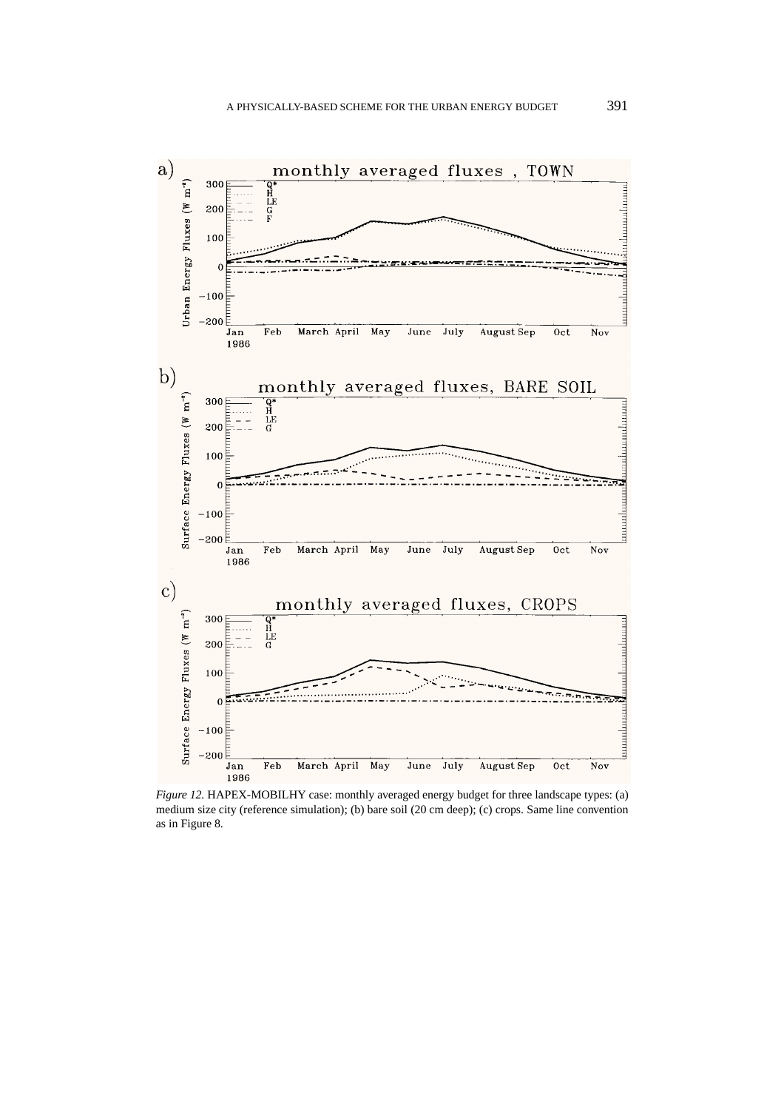

*Figure 12.* HAPEX-MOBILHY case: monthly averaged energy budget for three landscape types: (a) medium size city (reference simulation); (b) bare soil (20 cm deep); (c) crops. Same line convention as in Figure 8.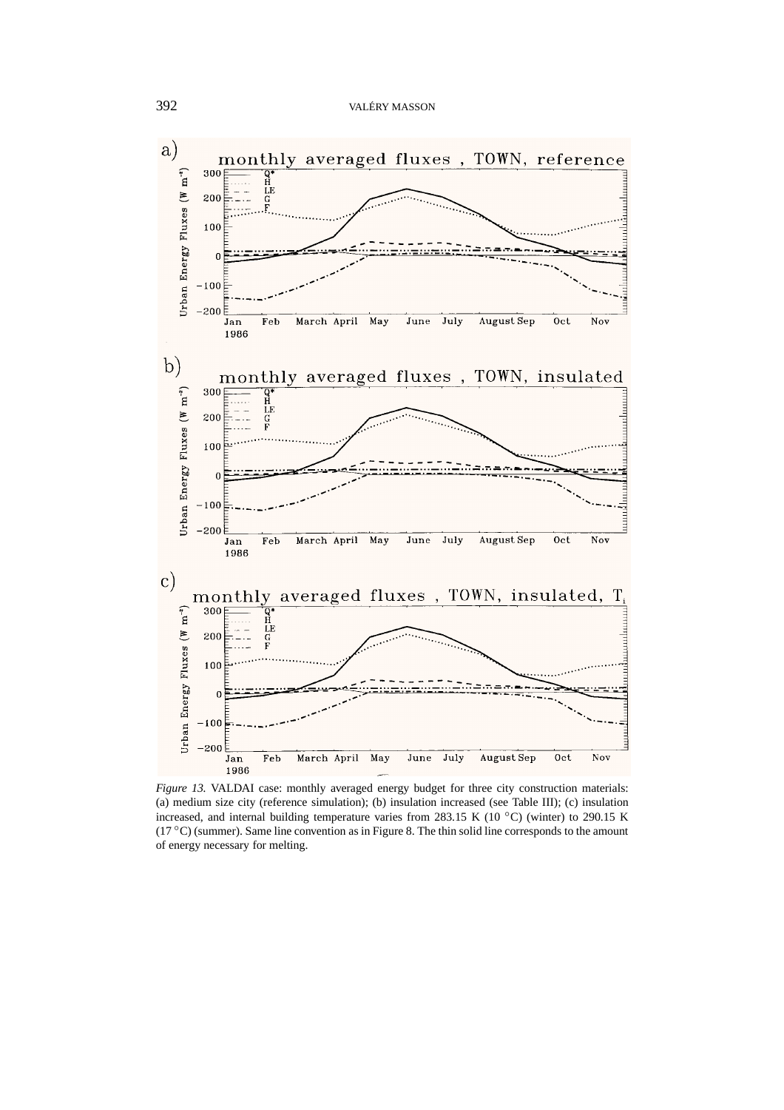

*Figure 13.* VALDAI case: monthly averaged energy budget for three city construction materials: (a) medium size city (reference simulation); (b) insulation increased (see Table III); (c) insulation increased, and internal building temperature varies from 283.15 K (10  $\degree$ C) (winter) to 290.15 K (17  $°C$ ) (summer). Same line convention as in Figure 8. The thin solid line corresponds to the amount of energy necessary for melting.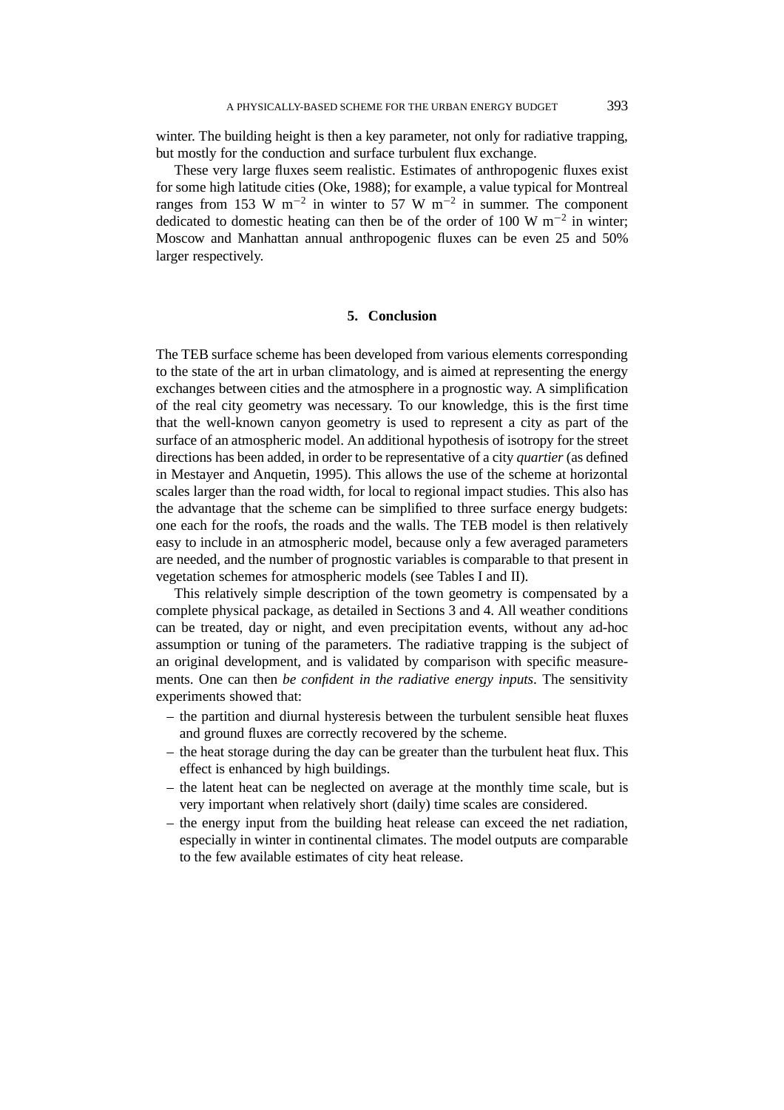winter. The building height is then a key parameter, not only for radiative trapping, but mostly for the conduction and surface turbulent flux exchange.

These very large fluxes seem realistic. Estimates of anthropogenic fluxes exist for some high latitude cities (Oke, 1988); for example, a value typical for Montreal ranges from 153 W m<sup>-2</sup> in winter to 57 W m<sup>-2</sup> in summer. The component dedicated to domestic heating can then be of the order of 100 W  $m^{-2}$  in winter; Moscow and Manhattan annual anthropogenic fluxes can be even 25 and 50% larger respectively.

# **5. Conclusion**

The TEB surface scheme has been developed from various elements corresponding to the state of the art in urban climatology, and is aimed at representing the energy exchanges between cities and the atmosphere in a prognostic way. A simplification of the real city geometry was necessary. To our knowledge, this is the first time that the well-known canyon geometry is used to represent a city as part of the surface of an atmospheric model. An additional hypothesis of isotropy for the street directions has been added, in order to be representative of a city *quartier* (as defined in Mestayer and Anquetin, 1995). This allows the use of the scheme at horizontal scales larger than the road width, for local to regional impact studies. This also has the advantage that the scheme can be simplified to three surface energy budgets: one each for the roofs, the roads and the walls. The TEB model is then relatively easy to include in an atmospheric model, because only a few averaged parameters are needed, and the number of prognostic variables is comparable to that present in vegetation schemes for atmospheric models (see Tables I and II).

This relatively simple description of the town geometry is compensated by a complete physical package, as detailed in Sections 3 and 4. All weather conditions can be treated, day or night, and even precipitation events, without any ad-hoc assumption or tuning of the parameters. The radiative trapping is the subject of an original development, and is validated by comparison with specific measurements. One can then *be confident in the radiative energy inputs*. The sensitivity experiments showed that:

- the partition and diurnal hysteresis between the turbulent sensible heat fluxes and ground fluxes are correctly recovered by the scheme.
- the heat storage during the day can be greater than the turbulent heat flux. This effect is enhanced by high buildings.
- the latent heat can be neglected on average at the monthly time scale, but is very important when relatively short (daily) time scales are considered.
- the energy input from the building heat release can exceed the net radiation, especially in winter in continental climates. The model outputs are comparable to the few available estimates of city heat release.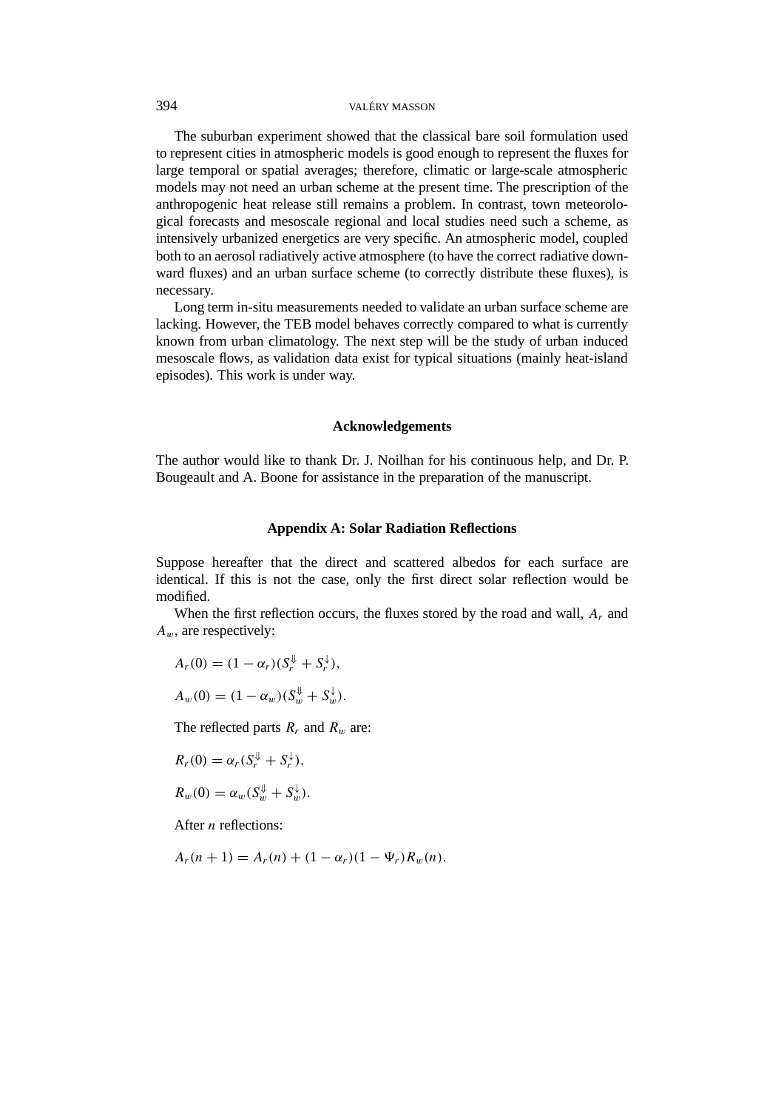The suburban experiment showed that the classical bare soil formulation used to represent cities in atmospheric models is good enough to represent the fluxes for large temporal or spatial averages; therefore, climatic or large-scale atmospheric models may not need an urban scheme at the present time. The prescription of the anthropogenic heat release still remains a problem. In contrast, town meteorological forecasts and mesoscale regional and local studies need such a scheme, as intensively urbanized energetics are very specific. An atmospheric model, coupled both to an aerosol radiatively active atmosphere (to have the correct radiative downward fluxes) and an urban surface scheme (to correctly distribute these fluxes), is necessary.

Long term in-situ measurements needed to validate an urban surface scheme are lacking. However, the TEB model behaves correctly compared to what is currently known from urban climatology. The next step will be the study of urban induced mesoscale flows, as validation data exist for typical situations (mainly heat-island episodes). This work is under way.

### **Acknowledgements**

The author would like to thank Dr. J. Noilhan for his continuous help, and Dr. P. Bougeault and A. Boone for assistance in the preparation of the manuscript.

### **Appendix A: Solar Radiation Reflections**

Suppose hereafter that the direct and scattered albedos for each surface are identical. If this is not the case, only the first direct solar reflection would be modified.

When the first reflection occurs, the fluxes stored by the road and wall, *Ar* and *Aw*, are respectively:

$$
A_r(0)=(1-\alpha_r)(S_r^{\downarrow\downarrow}+S_r^{\downarrow}),
$$

$$
A_w(0) = (1 - \alpha_w)(S_w^{\downarrow} + S_w^{\downarrow}).
$$

The reflected parts  $R_r$  and  $R_w$  are:

$$
R_r(0) = \alpha_r (S_r^{\downarrow} + S_r^{\downarrow}),
$$

$$
R_w(0) = \alpha_w (S_w^{\Downarrow} + S_w^{\Downarrow}).
$$

After *n* reflections:

 $A_r(n+1) = A_r(n) + (1 - \alpha_r)(1 - \Psi_r)R_w(n).$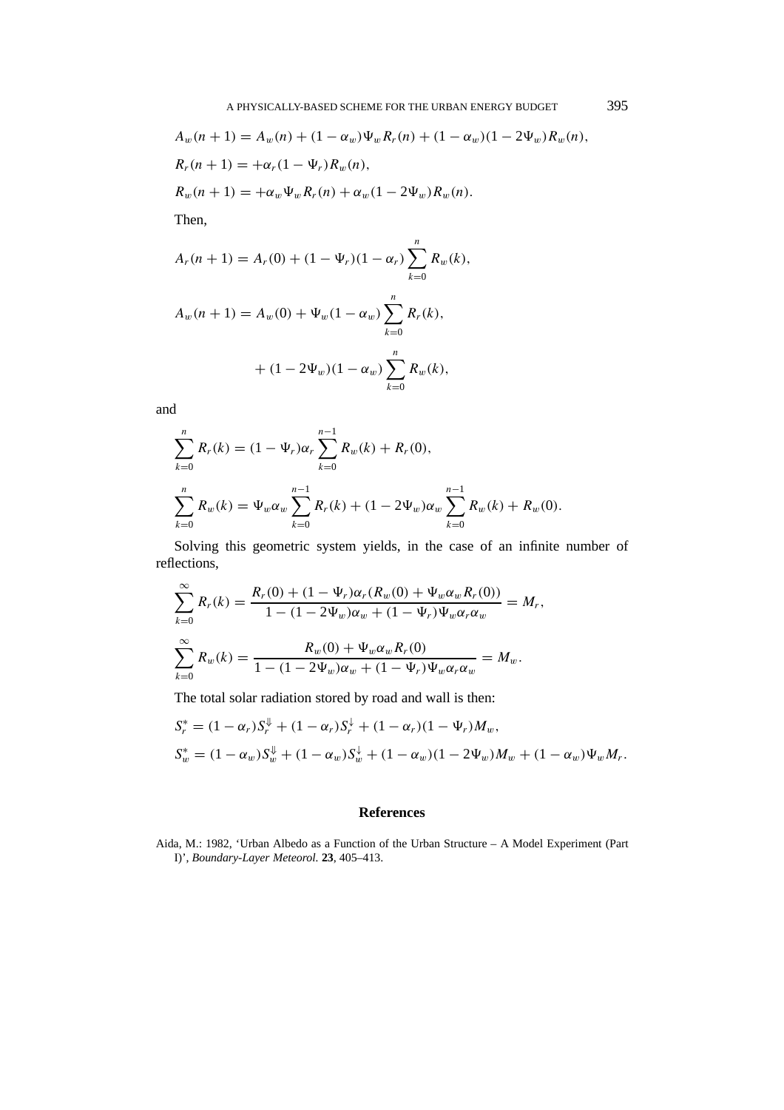$$
A_w(n + 1) = A_w(n) + (1 - \alpha_w) \Psi_w R_r(n) + (1 - \alpha_w)(1 - 2\Psi_w) R_w(n),
$$
  
\n
$$
R_r(n + 1) = +\alpha_r(1 - \Psi_r) R_w(n),
$$
  
\n
$$
R_w(n + 1) = +\alpha_w \Psi_w R_r(n) + \alpha_w(1 - 2\Psi_w) R_w(n).
$$
  
\nThen,

$$
A_r(n + 1) = A_r(0) + (1 - \Psi_r)(1 - \alpha_r) \sum_{k=0}^n R_w(k),
$$
  

$$
A_w(n + 1) = A_w(0) + \Psi_w(1 - \alpha_w) \sum_{k=0}^n R_r(k),
$$
  

$$
+ (1 - 2\Psi_w)(1 - \alpha_w) \sum_{k=0}^n R_w(k),
$$

and

$$
\sum_{k=0}^{n} R_r(k) = (1 - \Psi_r) \alpha_r \sum_{k=0}^{n-1} R_w(k) + R_r(0),
$$
  

$$
\sum_{k=0}^{n} R_w(k) = \Psi_w \alpha_w \sum_{k=0}^{n-1} R_r(k) + (1 - 2\Psi_w) \alpha_w \sum_{k=0}^{n-1} R_w(k) + R_w(0).
$$

Solving this geometric system yields, in the case of an infinite number of reflections,

$$
\sum_{k=0}^{\infty} R_r(k) = \frac{R_r(0) + (1 - \Psi_r)\alpha_r(R_w(0) + \Psi_w\alpha_w R_r(0))}{1 - (1 - 2\Psi_w)\alpha_w + (1 - \Psi_r)\Psi_w\alpha_r\alpha_w} = M_r,
$$
  

$$
\sum_{k=0}^{\infty} R_w(k) = \frac{R_w(0) + \Psi_w\alpha_w R_r(0)}{1 - (1 - 2\Psi_w)\alpha_w + (1 - \Psi_r)\Psi_w\alpha_r\alpha_w} = M_w.
$$

The total solar radiation stored by road and wall is then:

$$
S_r^* = (1 - \alpha_r)S_r^{\downarrow} + (1 - \alpha_r)S_r^{\downarrow} + (1 - \alpha_r)(1 - \Psi_r)M_w,
$$
  
\n
$$
S_w^* = (1 - \alpha_w)S_w^{\downarrow} + (1 - \alpha_w)S_w^{\downarrow} + (1 - \alpha_w)(1 - 2\Psi_w)M_w + (1 - \alpha_w)\Psi_wM_r.
$$

## **References**

Aida, M.: 1982, 'Urban Albedo as a Function of the Urban Structure – A Model Experiment (Part I)', *Boundary-Layer Meteorol.* **23**, 405–413.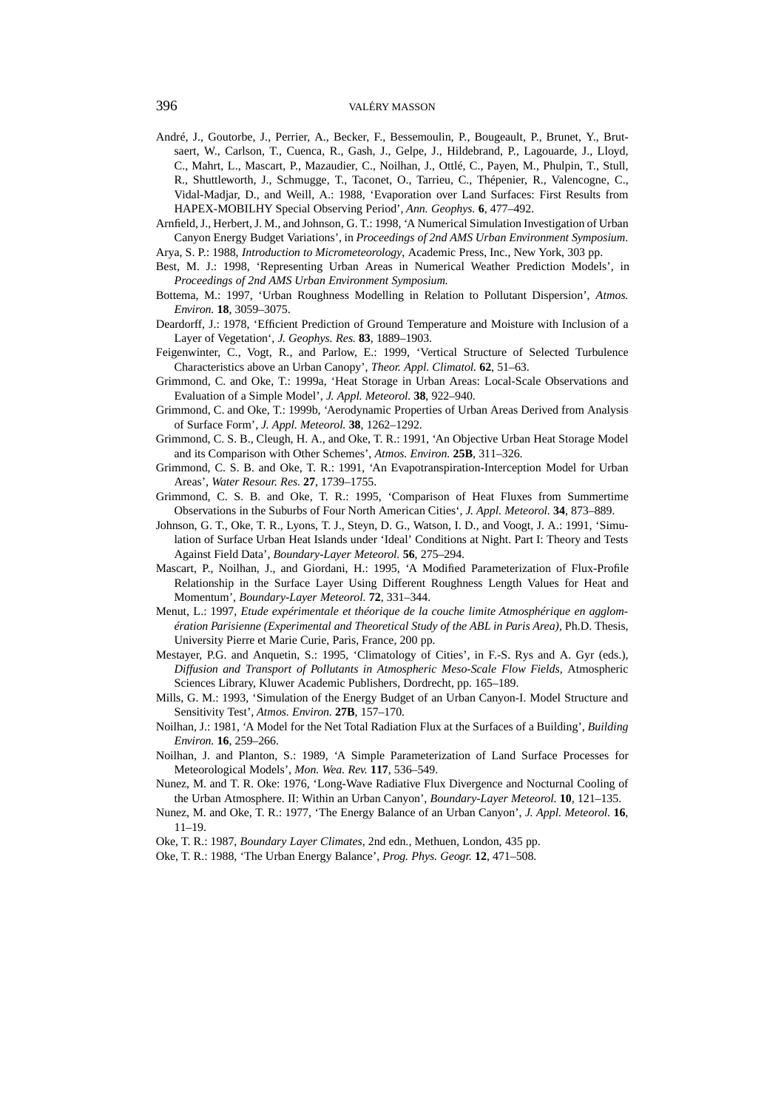- André, J., Goutorbe, J., Perrier, A., Becker, F., Bessemoulin, P., Bougeault, P., Brunet, Y., Brutsaert, W., Carlson, T., Cuenca, R., Gash, J., Gelpe, J., Hildebrand, P., Lagouarde, J., Lloyd, C., Mahrt, L., Mascart, P., Mazaudier, C., Noilhan, J., Ottlé, C., Payen, M., Phulpin, T., Stull, R., Shuttleworth, J., Schmugge, T., Taconet, O., Tarrieu, C., Thépenier, R., Valencogne, C., Vidal-Madjar, D., and Weill, A.: 1988, 'Evaporation over Land Surfaces: First Results from HAPEX-MOBILHY Special Observing Period', *Ann. Geophys.* **6**, 477–492.
- Arnfield, J., Herbert, J. M., and Johnson, G. T.: 1998, 'A Numerical Simulation Investigation of Urban Canyon Energy Budget Variations', in *Proceedings of 2nd AMS Urban Environment Symposium*.
- Arya, S. P.: 1988, *Introduction to Micrometeorology*, Academic Press, Inc., New York, 303 pp.
- Best, M. J.: 1998, 'Representing Urban Areas in Numerical Weather Prediction Models', in *Proceedings of 2nd AMS Urban Environment Symposium*.
- Bottema, M.: 1997, 'Urban Roughness Modelling in Relation to Pollutant Dispersion', *Atmos. Environ.* **18**, 3059–3075.
- Deardorff, J.: 1978, 'Efficient Prediction of Ground Temperature and Moisture with Inclusion of a Layer of Vegetation', *J. Geophys. Res.* **83**, 1889–1903.
- Feigenwinter, C., Vogt, R., and Parlow, E.: 1999, 'Vertical Structure of Selected Turbulence Characteristics above an Urban Canopy', *Theor. Appl. Climatol.* **62**, 51–63.
- Grimmond, C. and Oke, T.: 1999a, 'Heat Storage in Urban Areas: Local-Scale Observations and Evaluation of a Simple Model', *J. Appl. Meteorol.* **38**, 922–940.
- Grimmond, C. and Oke, T.: 1999b, 'Aerodynamic Properties of Urban Areas Derived from Analysis of Surface Form', *J. Appl. Meteorol.* **38**, 1262–1292.
- Grimmond, C. S. B., Cleugh, H. A., and Oke, T. R.: 1991, 'An Objective Urban Heat Storage Model and its Comparison with Other Schemes', *Atmos. Environ.* **25B**, 311–326.
- Grimmond, C. S. B. and Oke, T. R.: 1991, 'An Evapotranspiration-Interception Model for Urban Areas', *Water Resour. Res.* **27**, 1739–1755.
- Grimmond, C. S. B. and Oke, T. R.: 1995, 'Comparison of Heat Fluxes from Summertime Observations in the Suburbs of Four North American Cities', *J. Appl. Meteorol.* **34**, 873–889.
- Johnson, G. T., Oke, T. R., Lyons, T. J., Steyn, D. G., Watson, I. D., and Voogt, J. A.: 1991, 'Simulation of Surface Urban Heat Islands under 'Ideal' Conditions at Night. Part I: Theory and Tests Against Field Data', *Boundary-Layer Meteorol.* **56**, 275–294.
- Mascart, P., Noilhan, J., and Giordani, H.: 1995, 'A Modified Parameterization of Flux-Profile Relationship in the Surface Layer Using Different Roughness Length Values for Heat and Momentum', *Boundary-Layer Meteorol.* **72**, 331–344.
- Menut, L.: 1997, *Etude expérimentale et théorique de la couche limite Atmosphérique en agglomération Parisienne (Experimental and Theoretical Study of the ABL in Paris Area)*, Ph.D. Thesis, University Pierre et Marie Curie, Paris, France, 200 pp.
- Mestayer, P.G. and Anquetin, S.: 1995, 'Climatology of Cities', in F.-S. Rys and A. Gyr (eds.), *Diffusion and Transport of Pollutants in Atmospheric Meso-Scale Flow Fields*, Atmospheric Sciences Library, Kluwer Academic Publishers, Dordrecht, pp. 165–189.
- Mills, G. M.: 1993, 'Simulation of the Energy Budget of an Urban Canyon-I. Model Structure and Sensitivity Test', *Atmos. Environ.* **27B**, 157–170.
- Noilhan, J.: 1981, 'A Model for the Net Total Radiation Flux at the Surfaces of a Building', *Building Environ.* **16**, 259–266.
- Noilhan, J. and Planton, S.: 1989, 'A Simple Parameterization of Land Surface Processes for Meteorological Models', *Mon. Wea. Rev.* **117**, 536–549.
- Nunez, M. and T. R. Oke: 1976, 'Long-Wave Radiative Flux Divergence and Nocturnal Cooling of the Urban Atmosphere. II: Within an Urban Canyon', *Boundary-Layer Meteorol.* **10**, 121–135.
- Nunez, M. and Oke, T. R.: 1977, 'The Energy Balance of an Urban Canyon', *J. Appl. Meteorol.* **16**, 11–19.
- Oke, T. R.: 1987, *Boundary Layer Climates*, 2nd edn., Methuen, London, 435 pp.
- Oke, T. R.: 1988, 'The Urban Energy Balance', *Prog. Phys. Geogr.* **12**, 471–508.